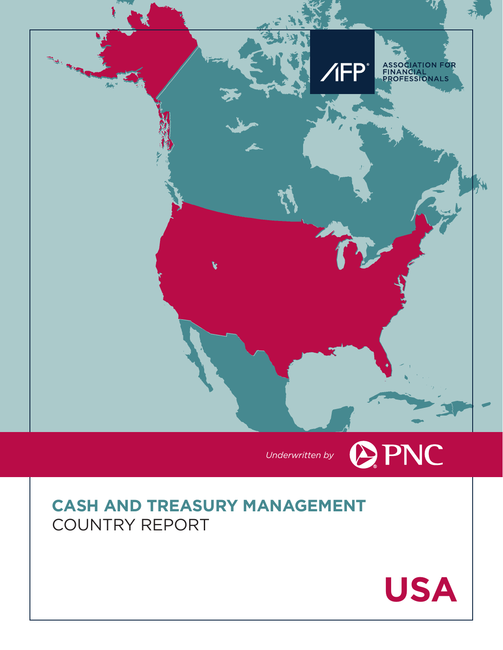



# **CASH AND TREASURY MANAGEMENT** COUNTRY REPORT

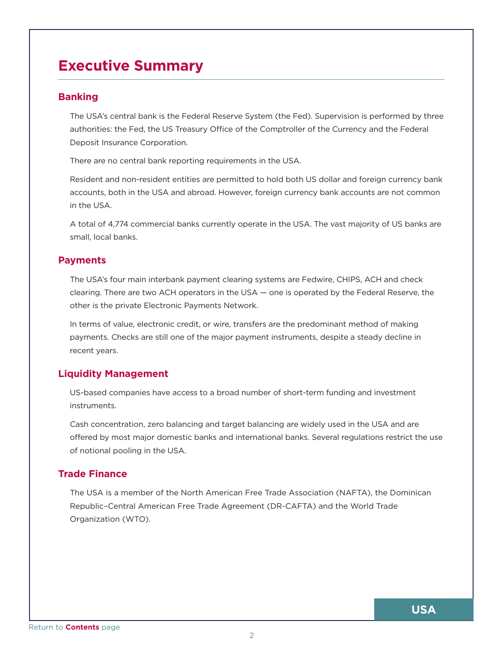## <span id="page-1-0"></span>**Executive Summary**

## **Banking**

The USA's central bank is the Federal Reserve System (the Fed). Supervision is performed by three authorities: the Fed, the US Treasury Office of the Comptroller of the Currency and the Federal Deposit Insurance Corporation.

There are no central bank reporting requirements in the USA.

Resident and non-resident entities are permitted to hold both US dollar and foreign currency bank accounts, both in the USA and abroad. However, foreign currency bank accounts are not common in the USA.

A total of 4,774 commercial banks currently operate in the USA. The vast majority of US banks are small, local banks.

## **Payments**

The USA's four main interbank payment clearing systems are Fedwire, CHIPS, ACH and check clearing. There are two ACH operators in the USA — one is operated by the Federal Reserve, the other is the private Electronic Payments Network.

In terms of value, electronic credit, or wire, transfers are the predominant method of making payments. Checks are still one of the major payment instruments, despite a steady decline in recent years.

## **Liquidity Management**

US-based companies have access to a broad number of short-term funding and investment instruments.

Cash concentration, zero balancing and target balancing are widely used in the USA and are offered by most major domestic banks and international banks. Several regulations restrict the use of notional pooling in the USA.

## **Trade Finance**

The USA is a member of the North American Free Trade Association (NAFTA), the Dominican Republic–Central American Free Trade Agreement (DR-CAFTA) and the World Trade Organization (WTO).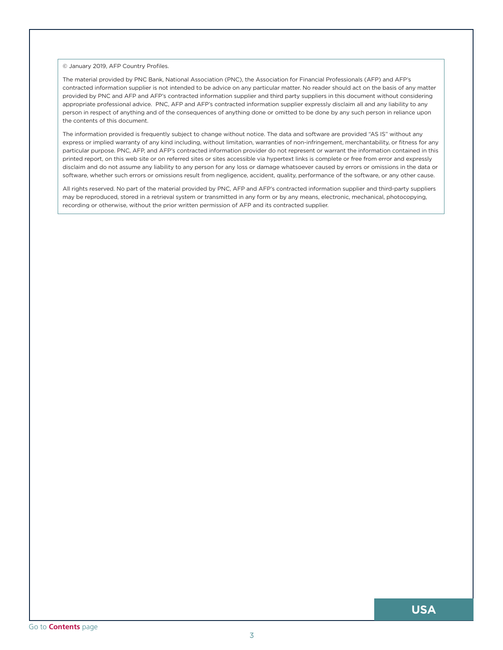© January 2019, AFP Country Profiles.

The material provided by PNC Bank, National Association (PNC), the Association for Financial Professionals (AFP) and AFP's contracted information supplier is not intended to be advice on any particular matter. No reader should act on the basis of any matter provided by PNC and AFP and AFP's contracted information supplier and third party suppliers in this document without considering appropriate professional advice. PNC, AFP and AFP's contracted information supplier expressly disclaim all and any liability to any person in respect of anything and of the consequences of anything done or omitted to be done by any such person in reliance upon the contents of this document.

The information provided is frequently subject to change without notice. The data and software are provided "AS IS" without any express or implied warranty of any kind including, without limitation, warranties of non-infringement, merchantability, or fitness for any particular purpose. PNC, AFP, and AFP's contracted information provider do not represent or warrant the information contained in this printed report, on this web site or on referred sites or sites accessible via hypertext links is complete or free from error and expressly disclaim and do not assume any liability to any person for any loss or damage whatsoever caused by errors or omissions in the data or software, whether such errors or omissions result from negligence, accident, quality, performance of the software, or any other cause.

All rights reserved. No part of the material provided by PNC, AFP and AFP's contracted information supplier and third-party suppliers may be reproduced, stored in a retrieval system or transmitted in any form or by any means, electronic, mechanical, photocopying, recording or otherwise, without the prior written permission of AFP and its contracted supplier.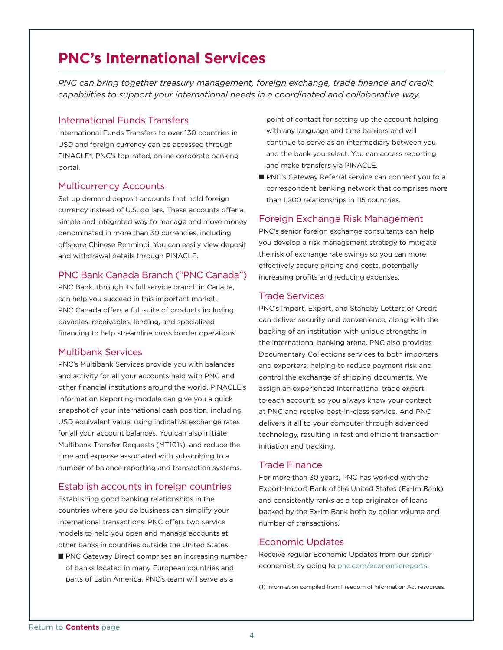## <span id="page-3-0"></span>**PNC's International Services**

*PNC can bring together treasury management, foreign exchange, trade finance and credit capabilities to support your international needs in a coordinated and collaborative way.*

#### International Funds Transfers

International Funds Transfers to over 130 countries in USD and foreign currency can be accessed through PINACLE®, PNC's top-rated, online corporate banking portal.

#### Multicurrency Accounts

Set up demand deposit accounts that hold foreign currency instead of U.S. dollars. These accounts offer a simple and integrated way to manage and move money denominated in more than 30 currencies, including offshore Chinese Renminbi. You can easily view deposit and withdrawal details through PINACLE.

#### PNC Bank Canada Branch ("PNC Canada")

PNC Bank, through its full service branch in Canada, can help you succeed in this important market. PNC Canada offers a full suite of products including payables, receivables, lending, and specialized financing to help streamline cross border operations.

#### Multibank Services

PNC's Multibank Services provide you with balances and activity for all your accounts held with PNC and other financial institutions around the world. PINACLE's Information Reporting module can give you a quick snapshot of your international cash position, including USD equivalent value, using indicative exchange rates for all your account balances. You can also initiate Multibank Transfer Requests (MT101s), and reduce the time and expense associated with subscribing to a number of balance reporting and transaction systems.

## Establish accounts in foreign countries

Establishing good banking relationships in the countries where you do business can simplify your international transactions. PNC offers two service models to help you open and manage accounts at other banks in countries outside the United States.

PNC Gateway Direct comprises an increasing number of banks located in many European countries and parts of Latin America. PNC's team will serve as a

point of contact for setting up the account helping with any language and time barriers and will continue to serve as an intermediary between you and the bank you select. You can access reporting and make transfers via PINACLE.

PNC's Gateway Referral service can connect you to a correspondent banking network that comprises more than 1,200 relationships in 115 countries.

#### Foreign Exchange Risk Management

PNC's senior foreign exchange consultants can help you develop a risk management strategy to mitigate the risk of exchange rate swings so you can more effectively secure pricing and costs, potentially increasing profits and reducing expenses.

#### Trade Services

PNC's Import, Export, and Standby Letters of Credit can deliver security and convenience, along with the backing of an institution with unique strengths in the international banking arena. PNC also provides Documentary Collections services to both importers and exporters, helping to reduce payment risk and control the exchange of shipping documents. We assign an experienced international trade expert to each account, so you always know your contact at PNC and receive best-in-class service. And PNC delivers it all to your computer through advanced technology, resulting in fast and efficient transaction initiation and tracking.

#### Trade Finance

For more than 30 years, PNC has worked with the Export-Import Bank of the United States (Ex-Im Bank) and consistently ranks as a top originator of loans backed by the Ex-Im Bank both by dollar volume and number of transactions.1

#### Economic Updates

Receive regular Economic Updates from our senior economist by going to pnc.com/economicreports.

(1) Information compiled from Freedom of Information Act resources.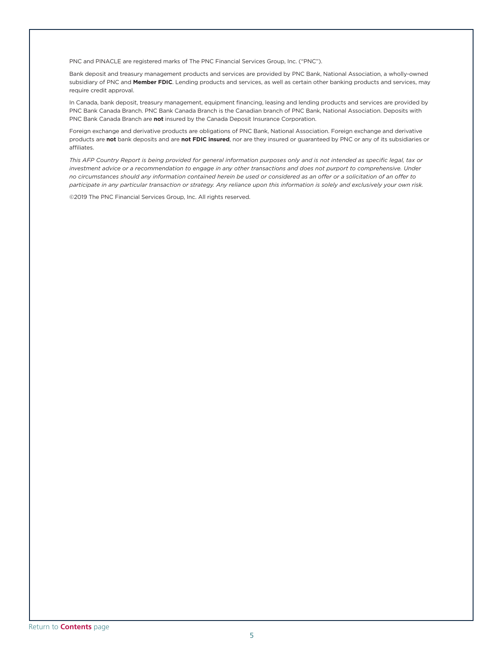PNC and PINACLE are registered marks of The PNC Financial Services Group, Inc. ("PNC").

Bank deposit and treasury management products and services are provided by PNC Bank, National Association, a wholly-owned subsidiary of PNC and **Member FDIC**. Lending products and services, as well as certain other banking products and services, may require credit approval.

In Canada, bank deposit, treasury management, equipment financing, leasing and lending products and services are provided by PNC Bank Canada Branch. PNC Bank Canada Branch is the Canadian branch of PNC Bank, National Association. Deposits with PNC Bank Canada Branch are **not** insured by the Canada Deposit Insurance Corporation.

Foreign exchange and derivative products are obligations of PNC Bank, National Association. Foreign exchange and derivative products are **not** bank deposits and are **not FDIC insured**, nor are they insured or guaranteed by PNC or any of its subsidiaries or affiliates.

*This AFP Country Report is being provided for general information purposes only and is not intended as specific legal, tax or investment advice or a recommendation to engage in any other transactions and does not purport to comprehensive. Under no circumstances should any information contained herein be used or considered as an offer or a solicitation of an offer to participate in any particular transaction or strategy. Any reliance upon this information is solely and exclusively your own risk.*

©2019 The PNC Financial Services Group, Inc. All rights reserved.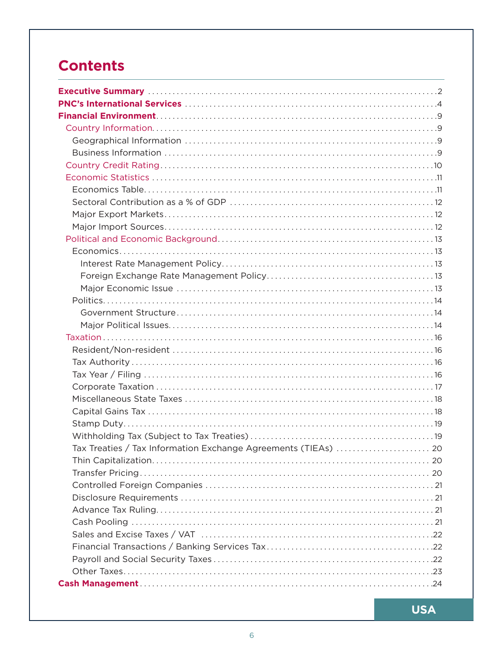# <span id="page-5-0"></span>**Contents**

| Tax Treaties / Tax Information Exchange Agreements (TIEAs)  20 |  |
|----------------------------------------------------------------|--|
|                                                                |  |
|                                                                |  |
|                                                                |  |
|                                                                |  |
|                                                                |  |
|                                                                |  |
|                                                                |  |
|                                                                |  |
|                                                                |  |
|                                                                |  |
|                                                                |  |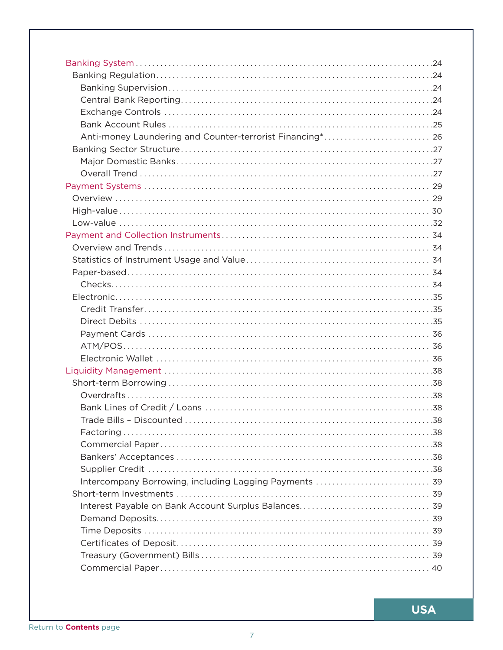| Anti-money Laundering and Counter-terrorist Financing* 26 |  |
|-----------------------------------------------------------|--|
|                                                           |  |
|                                                           |  |
|                                                           |  |
|                                                           |  |
|                                                           |  |
|                                                           |  |
|                                                           |  |
|                                                           |  |
|                                                           |  |
|                                                           |  |
|                                                           |  |
|                                                           |  |
|                                                           |  |
|                                                           |  |
|                                                           |  |
|                                                           |  |
|                                                           |  |
|                                                           |  |
|                                                           |  |
|                                                           |  |
|                                                           |  |
|                                                           |  |
|                                                           |  |
|                                                           |  |
|                                                           |  |
|                                                           |  |
|                                                           |  |
| Intercompany Borrowing, including Lagging Payments  39    |  |
|                                                           |  |
|                                                           |  |
|                                                           |  |
|                                                           |  |
|                                                           |  |
|                                                           |  |
|                                                           |  |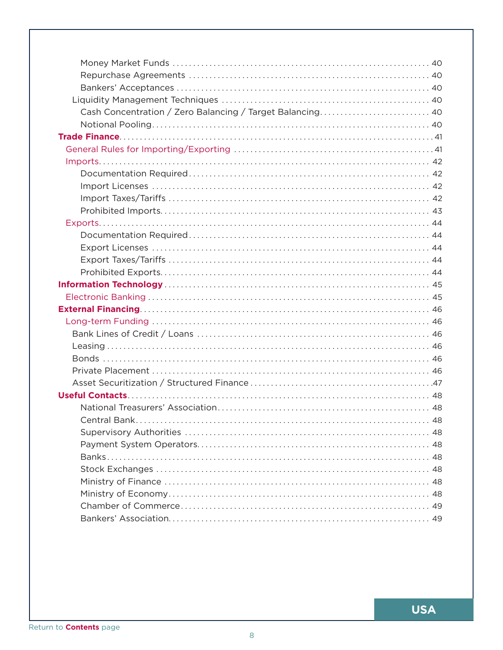| Cash Concentration / Zero Balancing / Target Balancing 40 |
|-----------------------------------------------------------|
|                                                           |
|                                                           |
|                                                           |
|                                                           |
|                                                           |
|                                                           |
|                                                           |
|                                                           |
|                                                           |
|                                                           |
|                                                           |
|                                                           |
|                                                           |
|                                                           |
|                                                           |
|                                                           |
|                                                           |
|                                                           |
|                                                           |
|                                                           |
|                                                           |
|                                                           |
|                                                           |
|                                                           |
|                                                           |
|                                                           |
|                                                           |
|                                                           |
|                                                           |
|                                                           |
|                                                           |
|                                                           |
|                                                           |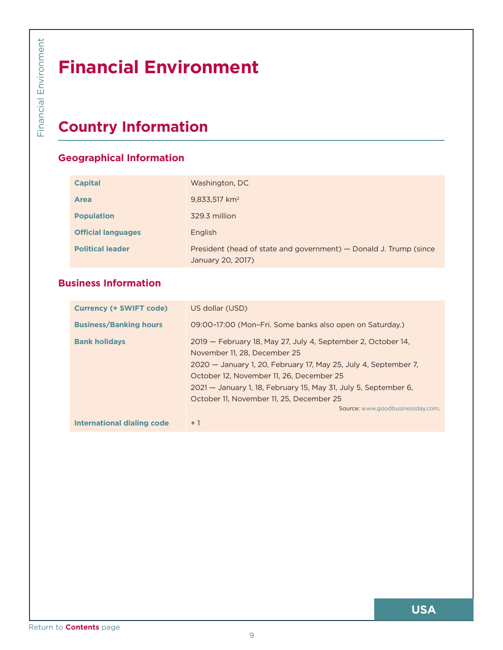# **Financial Environment**

# **Country Information**

## **Geographical Information**

| <b>Capital</b>            | Washington, DC                                                                         |
|---------------------------|----------------------------------------------------------------------------------------|
| <b>Area</b>               | $9,833,517$ km <sup>2</sup>                                                            |
| <b>Population</b>         | 329.3 million                                                                          |
| <b>Official languages</b> | English                                                                                |
| <b>Political leader</b>   | President (head of state and government) – Donald J. Trump (since<br>January 20, 2017) |

## **Business Information**

<span id="page-8-0"></span>

| <b>Area</b><br><b>Population</b><br><b>Official languages</b><br><b>Political leader</b> | 9,833,517 km <sup>2</sup><br>329.3 million<br>English                                                                                                                                                                                                                                                                                                          |
|------------------------------------------------------------------------------------------|----------------------------------------------------------------------------------------------------------------------------------------------------------------------------------------------------------------------------------------------------------------------------------------------------------------------------------------------------------------|
|                                                                                          |                                                                                                                                                                                                                                                                                                                                                                |
|                                                                                          |                                                                                                                                                                                                                                                                                                                                                                |
|                                                                                          | President (head of state and government) - Donald J. Trump (since<br>January 20, 2017)                                                                                                                                                                                                                                                                         |
| <b>Business Information</b>                                                              |                                                                                                                                                                                                                                                                                                                                                                |
| <b>Currency (+ SWIFT code)</b>                                                           | US dollar (USD)                                                                                                                                                                                                                                                                                                                                                |
| <b>Business/Banking hours</b>                                                            | 09:00-17:00 (Mon-Fri. Some banks also open on Saturday.)                                                                                                                                                                                                                                                                                                       |
| <b>Bank holidays</b>                                                                     | 2019 - February 18, May 27, July 4, September 2, October 14,<br>November 11, 28, December 25<br>2020 - January 1, 20, February 17, May 25, July 4, September 7,<br>October 12, November 11, 26, December 25<br>2021 - January 1, 18, February 15, May 31, July 5, September 6,<br>October 11, November 11, 25, December 25<br>Source: www.goodbusinessday.com. |
| <b>International dialing code</b>                                                        | $+1$                                                                                                                                                                                                                                                                                                                                                           |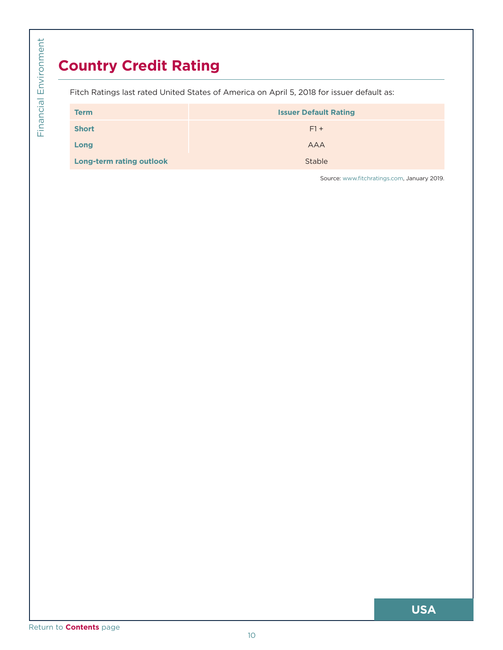# **Country Credit Rating**

<span id="page-9-0"></span>

|                                 | Fitch Ratings last rated United States of America on April 5, 2018 for issuer default as: |
|---------------------------------|-------------------------------------------------------------------------------------------|
| <b>Term</b>                     | <b>Issuer Default Rating</b>                                                              |
| <b>Short</b>                    | $F1 +$                                                                                    |
| Long                            | <b>AAA</b>                                                                                |
| <b>Long-term rating outlook</b> | Stable                                                                                    |
|                                 |                                                                                           |
|                                 |                                                                                           |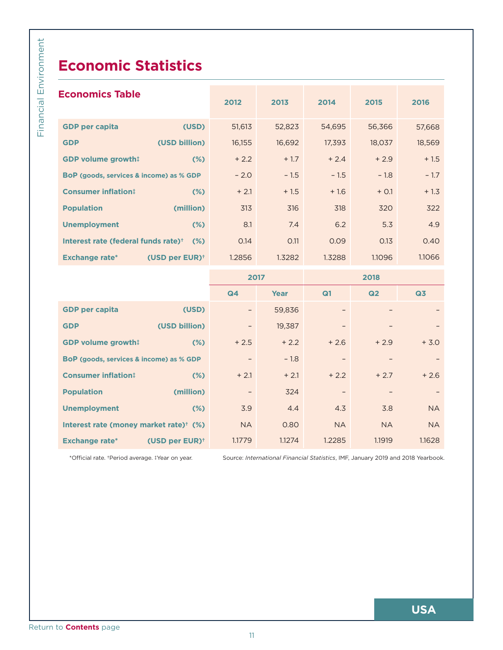# **Economic Statistics**

<span id="page-10-0"></span>

|                            | 2012                                                                                                                                                                                                                                                                                                                                   | 2013   | 2014      | 2015      | 2016                                                                            |
|----------------------------|----------------------------------------------------------------------------------------------------------------------------------------------------------------------------------------------------------------------------------------------------------------------------------------------------------------------------------------|--------|-----------|-----------|---------------------------------------------------------------------------------|
| (USD)                      | 51,613                                                                                                                                                                                                                                                                                                                                 | 52,823 | 54,695    | 56,366    | 57,668                                                                          |
| (USD billion)              | 16,155                                                                                                                                                                                                                                                                                                                                 | 16,692 | 17,393    | 18,037    | 18,569                                                                          |
| $(\%)$                     | $+2.2$                                                                                                                                                                                                                                                                                                                                 | $+1.7$ | $+2.4$    | $+2.9$    | $+1.5$                                                                          |
|                            | $-2.0$                                                                                                                                                                                                                                                                                                                                 | $-1.5$ | $-1.5$    | $-1.8$    | $-1.7$                                                                          |
| $(\%)$                     | $+2.1$                                                                                                                                                                                                                                                                                                                                 | $+1.5$ | $+1.6$    | $+ 0.1$   | $+1.3$                                                                          |
| (million)                  | 313                                                                                                                                                                                                                                                                                                                                    | 316    | 318       | 320       | 322                                                                             |
| $(\%)$                     | 8.1                                                                                                                                                                                                                                                                                                                                    | 7.4    | 6.2       | 5.3       | 4.9                                                                             |
|                            | 0.14                                                                                                                                                                                                                                                                                                                                   | 0.11   | 0.09      | 0.13      | 0.40                                                                            |
| (USD per EUR) <sup>+</sup> | 1.2856                                                                                                                                                                                                                                                                                                                                 | 1.3282 | 1.3288    | 1.1096    | 1.1066                                                                          |
|                            |                                                                                                                                                                                                                                                                                                                                        |        |           | 2018      |                                                                                 |
|                            | Q4                                                                                                                                                                                                                                                                                                                                     | Year   | Q1        | Q2        | Q3                                                                              |
| (USD)                      |                                                                                                                                                                                                                                                                                                                                        | 59,836 |           |           |                                                                                 |
| (USD billion)              | $\overline{\phantom{a}}$                                                                                                                                                                                                                                                                                                               | 19,387 |           |           |                                                                                 |
| $(\%)$                     | $+2.5$                                                                                                                                                                                                                                                                                                                                 | $+2.2$ | $+2.6$    | $+2.9$    | $+ 3.0$                                                                         |
|                            | $-$                                                                                                                                                                                                                                                                                                                                    | $-1.8$ |           | -         |                                                                                 |
| $(\%)$                     | $+2.1$                                                                                                                                                                                                                                                                                                                                 | $+2.1$ | $+2.2$    | $+2.7$    | $+2.6$                                                                          |
| (million)                  |                                                                                                                                                                                                                                                                                                                                        | 324    |           |           |                                                                                 |
| $(\%)$                     | 3.9                                                                                                                                                                                                                                                                                                                                    | 4.4    | 4.3       | 3.8       | NA                                                                              |
|                            | <b>NA</b>                                                                                                                                                                                                                                                                                                                              | 0.80   | <b>NA</b> | <b>NA</b> | <b>NA</b>                                                                       |
| (USD per EUR) <sup>+</sup> | 1.1779                                                                                                                                                                                                                                                                                                                                 | 1.1274 | 1.2285    | 1.1919    | 1.1628                                                                          |
|                            |                                                                                                                                                                                                                                                                                                                                        |        |           |           |                                                                                 |
|                            | <b>Economics Table</b><br><b>GDP volume growth!</b><br>BoP (goods, services & income) as % GDP<br>Interest rate (federal funds rate) <sup>+</sup> (%)<br><b>GDP volume growth!</b><br>BoP (goods, services & income) as % GDP<br>Interest rate (money market rate) <sup>+</sup> (%)<br>*Official rate. +Period average. ‡Year on year. |        | 2017      |           | Source: International Financial Statistics, IMF, January 2019 and 2018 Yearbook |

|                                                    |                               | 94                       | <b>Tear</b> | чı                       | <b>WZ</b> | <b>UJ</b> |
|----------------------------------------------------|-------------------------------|--------------------------|-------------|--------------------------|-----------|-----------|
| <b>GDP per capita</b>                              | (USD)                         |                          | 59,836      |                          |           |           |
| <b>GDP</b>                                         | (USD billion)                 | $\overline{\phantom{0}}$ | 19,387      |                          |           |           |
| <b>GDP volume growth!</b>                          | $(\%)$                        | $+2.5$                   | $+2.2$      | $+2.6$                   | $+2.9$    | $+ 3.0$   |
| <b>BoP</b> (goods, services & income) as % GDP     |                               |                          | $-1.8$      |                          |           |           |
| <b>Consumer inflation:</b>                         | $(\%)$                        | $+2.1$                   | $+2.1$      | $+2.2$                   | $+2.7$    | $+2.6$    |
| <b>Population</b>                                  | (million)                     | $\overline{\phantom{0}}$ | 324         | $\overline{\phantom{0}}$ |           |           |
| <b>Unemployment</b>                                | $(\%)$                        | 3.9                      | 4.4         | 4.3                      | 3.8       | <b>NA</b> |
| Interest rate (money market rate) <sup>+</sup> (%) |                               | <b>NA</b>                | 0.80        | <b>NA</b>                | <b>NA</b> | <b>NA</b> |
| <b>Exchange rate*</b>                              | (USD per $EUR$ ) <sup>+</sup> | 1.1779                   | 1.1274      | 1.2285                   | 1.1919    | 1.1628    |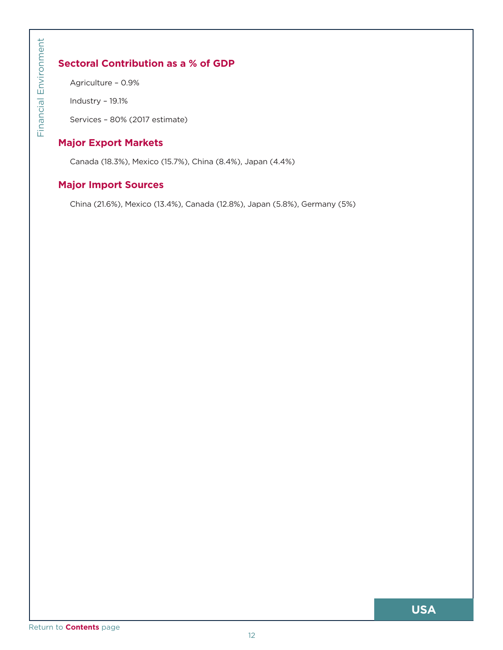## <span id="page-11-0"></span>**Sectoral Contribution as a % of GDP**

Agriculture – 0.9%

Industry – 19.1%

Services – 80% (2017 estimate)

## **Major Export Markets**

Canada (18.3%), Mexico (15.7%), China (8.4%), Japan (4.4%)

## **Major Import Sources**

China (21.6%), Mexico (13.4%), Canada (12.8%), Japan (5.8%), Germany (5%)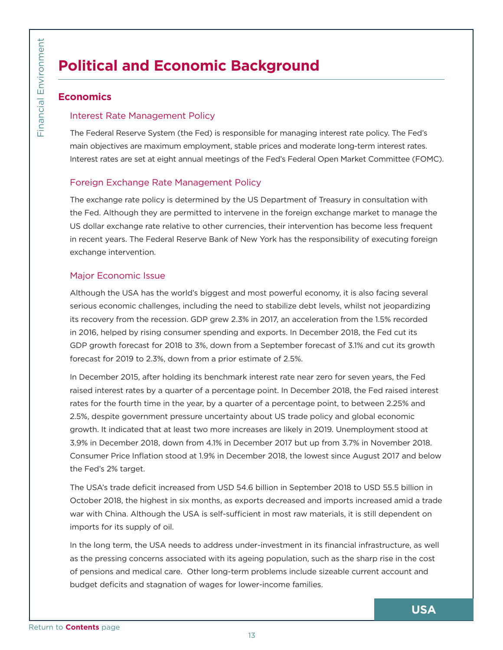# **Political and Economic Background**

## **Economics**

#### Interest Rate Management Policy

The Federal Reserve System (the Fed) is responsible for managing interest rate policy. The Fed's main objectives are maximum employment, stable prices and moderate long-term interest rates. Interest rates are set at eight annual meetings of the Fed's Federal Open Market Committee (FOMC).

## Foreign Exchange Rate Management Policy

The exchange rate policy is determined by the US Department of Treasury in consultation with the Fed. Although they are permitted to intervene in the foreign exchange market to manage the US dollar exchange rate relative to other currencies, their intervention has become less frequent in recent years. The Federal Reserve Bank of New York has the responsibility of executing foreign exchange intervention.

#### Major Economic Issue

Although the USA has the world's biggest and most powerful economy, it is also facing several serious economic challenges, including the need to stabilize debt levels, whilst not jeopardizing its recovery from the recession. GDP grew 2.3% in 2017, an acceleration from the 1.5% recorded in 2016, helped by rising consumer spending and exports. In December 2018, the Fed cut its GDP growth forecast for 2018 to 3%, down from a September forecast of 3.1% and cut its growth forecast for 2019 to 2.3%, down from a prior estimate of 2.5%.

<span id="page-12-0"></span>**Political**<br> **Economics**<br>
Interest Rat<br>
The Federal F<br>
main objective<br>
Interest rates<br>
Foreign Exx<br>
The exchange the Fed. Alth<br>
US dollar exc<br>
in recent yeal<br>
exchange interest main exchange interest<br>
Major Econom<br>
Althoug In December 2015, after holding its benchmark interest rate near zero for seven years, the Fed raised interest rates by a quarter of a percentage point. In December 2018, the Fed raised interest rates for the fourth time in the year, by a quarter of a percentage point, to between 2.25% and 2.5%, despite government pressure uncertainty about US trade policy and global economic growth. It indicated that at least two more increases are likely in 2019. Unemployment stood at 3.9% in December 2018, down from 4.1% in December 2017 but up from 3.7% in November 2018. Consumer Price Inflation stood at 1.9% in December 2018, the lowest since August 2017 and below the Fed's 2% target.

The USA's trade deficit increased from USD 54.6 billion in September 2018 to USD 55.5 billion in October 2018, the highest in six months, as exports decreased and imports increased amid a trade war with China. Although the USA is self-sufficient in most raw materials, it is still dependent on imports for its supply of oil.

In the long term, the USA needs to address under-investment in its financial infrastructure, as well as the pressing concerns associated with its ageing population, such as the sharp rise in the cost of pensions and medical care. Other long-term problems include sizeable current account and budget deficits and stagnation of wages for lower-income families.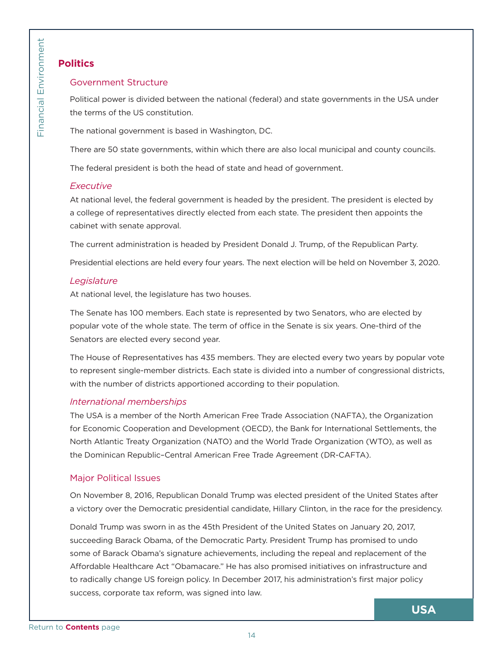## **Politics**

#### Government Structure

Political power is divided between the national (federal) and state governments in the USA under the terms of the US constitution.

The national government is based in Washington, DC.

There are 50 state governments, within which there are also local municipal and county councils.

The federal president is both the head of state and head of government.

## *Executive*

At national level, the federal government is headed by the president. The president is elected by a college of representatives directly elected from each state. The president then appoints the cabinet with senate approval.

The current administration is headed by President Donald J. Trump, of the Republican Party.

Presidential elections are held every four years. The next election will be held on November 3, 2020.

## *Legislature*

At national level, the legislature has two houses.

The Senate has 100 members. Each state is represented by two Senators, who are elected by popular vote of the whole state. The term of office in the Senate is six years. One-third of the Senators are elected every second year.

The House of Representatives has 435 members. They are elected every two years by popular vote to represent single-member districts. Each state is divided into a number of congressional districts, with the number of districts apportioned according to their population.

## *International memberships*

The USA is a member of the North American Free Trade Association (NAFTA), the Organization for Economic Cooperation and Development (OECD), the Bank for International Settlements, the North Atlantic Treaty Organization (NATO) and the World Trade Organization (WTO), as well as the Dominican Republic–Central American Free Trade Agreement (DR-CAFTA).

## Major Political Issues

On November 8, 2016, Republican Donald Trump was elected president of the United States after a victory over the Democratic presidential candidate, Hillary Clinton, in the race for the presidency.

<span id="page-13-0"></span>**Politics**<br>
Governmen<br>
Political power<br>
the terms of the terms of the terms of the terms of the terms of the federal p<br> *Executive*<br>
At national le<br>
a college of n<br>
cabinet with The current a<br>
Presidential e<br> *Legislature* Donald Trump was sworn in as the 45th President of the United States on January 20, 2017, succeeding Barack Obama, of the Democratic Party. President Trump has promised to undo some of Barack Obama's signature achievements, including the repeal and replacement of the Affordable Healthcare Act "Obamacare." He has also promised initiatives on infrastructure and to radically change US foreign policy. In December 2017, his administration's first major policy success, corporate tax reform, was signed into law.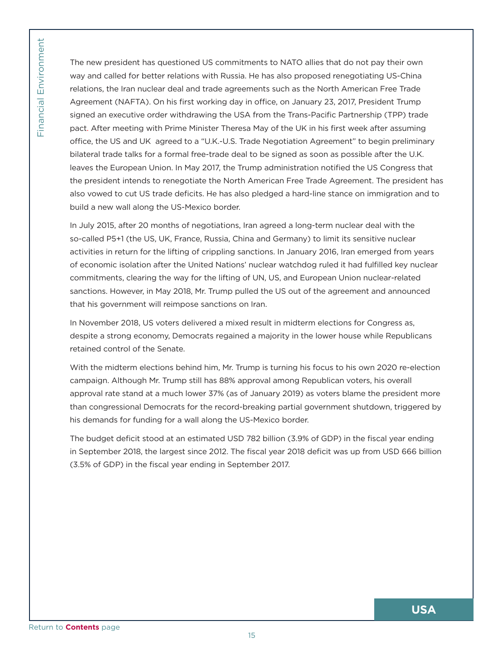Financial Environment

The new press<br>
way and calle<br>
relations, the<br>
Agreement (I<br>
signed an exe<br>
pact. After m<br>
office, the US<br>
bilateral trade<br>
leaves the Eu<br>
the president<br>
also vowed to<br>
build a new w<br>
so-called P5+<br>
activities in re<br>
of eco The new president has questioned US commitments to NATO allies that do not pay their own way and called for better relations with Russia. He has also proposed renegotiating US-China relations, the Iran nuclear deal and trade agreements such as the North American Free Trade Agreement (NAFTA). On his first working day in office, on January 23, 2017, President Trump signed an executive order withdrawing the USA from the Trans-Pacific Partnership (TPP) trade pact. After meeting with Prime Minister Theresa May of the UK in his first week after assuming office, the US and UK agreed to a "U.K.-U.S. Trade Negotiation Agreement" to begin preliminary bilateral trade talks for a formal free-trade deal to be signed as soon as possible after the U.K. leaves the European Union. In May 2017, the Trump administration notified the US Congress that the president intends to renegotiate the North American Free Trade Agreement. The president has also vowed to cut US trade deficits. He has also pledged a hard-line stance on immigration and to build a new wall along the US-Mexico border.

In July 2015, after 20 months of negotiations, Iran agreed a long-term nuclear deal with the so-called P5+1 (the US, UK, France, Russia, China and Germany) to limit its sensitive nuclear activities in return for the lifting of crippling sanctions. In January 2016, Iran emerged from years of economic isolation after the United Nations' nuclear watchdog ruled it had fulfilled key nuclear commitments, clearing the way for the lifting of UN, US, and European Union nuclear-related sanctions. However, in May 2018, Mr. Trump pulled the US out of the agreement and announced that his government will reimpose sanctions on Iran.

In November 2018, US voters delivered a mixed result in midterm elections for Congress as, despite a strong economy, Democrats regained a majority in the lower house while Republicans retained control of the Senate.

With the midterm elections behind him, Mr. Trump is turning his focus to his own 2020 re-election campaign. Although Mr. Trump still has 88% approval among Republican voters, his overall approval rate stand at a much lower 37% (as of January 2019) as voters blame the president more than congressional Democrats for the record-breaking partial government shutdown, triggered by his demands for funding for a wall along the US-Mexico border.

The budget deficit stood at an estimated USD 782 billion (3.9% of GDP) in the fiscal year ending in September 2018, the largest since 2012. The fiscal year 2018 deficit was up from USD 666 billion (3.5% of GDP) in the fiscal year ending in September 2017.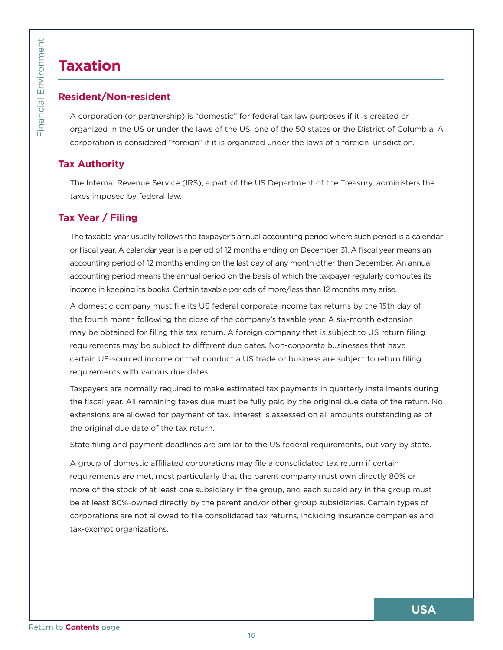# **Taxation**

## **Resident/Non-resident**

A corporation (or partnership) is "domestic" for federal tax law purposes if it is created or organized in the US or under the laws of the US, one of the 50 states or the District of Columbia. A corporation is considered "foreign" if it is organized under the laws of a foreign jurisdiction.

## **Tax Authority**

The Internal Revenue Service (IRS), a part of the US Department of the Treasury, administers the taxes imposed by federal law.

## **Tax Year / Filing**

The taxable year usually follows the taxpayer's annual accounting period where such period is a calendar or fiscal year. A calendar year is a period of 12 months ending on December 31. A fiscal year means an accounting period of 12 months ending on the last day of any month other than December. An annual accounting period means the annual period on the basis of which the taxpayer regularly computes its income in keeping its books. Certain taxable periods of more/less than 12 months may arise.

A domestic company must file its US federal corporate income tax returns by the 15th day of the fourth month following the close of the company's taxable year. A six-month extension may be obtained for filing this tax return. A foreign company that is subject to US return filing requirements may be subject to different due dates. Non-corporate businesses that have certain US-sourced income or that conduct a US trade or business are subject to return filing requirements with various due dates.

Taxpayers are normally required to make estimated tax payments in quarterly installments during the fiscal year. All remaining taxes due must be fully paid by the original due date of the return. No extensions are allowed for payment of tax. Interest is assessed on all amounts outstanding as of the original due date of the tax return.

State filing and payment deadlines are similar to the US federal requirements, but vary by state.

<span id="page-15-0"></span>**Example 18 Secondary Properties Contents** page [Return to](#page-5-0) Contents page Return to Contents page Return to Contents page Return to Contents page Return to Contents page Return to Contents page Return to Contents page Return A group of domestic affiliated corporations may file a consolidated tax return if certain requirements are met, most particularly that the parent company must own directly 80% or more of the stock of at least one subsidiary in the group, and each subsidiary in the group must be at least 80%-owned directly by the parent and/or other group subsidiaries. Certain types of corporations are not allowed to file consolidated tax returns, including insurance companies and tax-exempt organizations.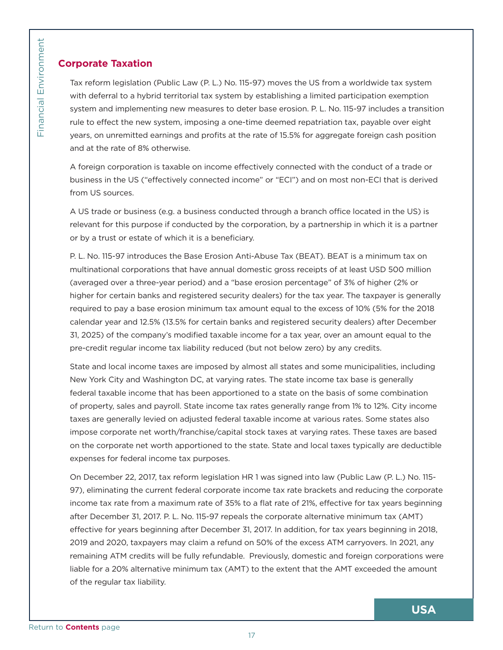## **Corporate Taxation**

Tax reform legislation (Public Law (P. L.) No. 115-97) moves the US from a worldwide tax system with deferral to a hybrid territorial tax system by establishing a limited participation exemption system and implementing new measures to deter base erosion. P. L. No. 115-97 includes a transition rule to effect the new system, imposing a one-time deemed repatriation tax, payable over eight years, on unremitted earnings and profits at the rate of 15.5% for aggregate foreign cash position and at the rate of 8% otherwise.

A foreign corporation is taxable on income effectively connected with the conduct of a trade or business in the US ("effectively connected income" or "ECI") and on most non-ECI that is derived from US sources.

A US trade or business (e.g. a business conducted through a branch office located in the US) is relevant for this purpose if conducted by the corporation, by a partnership in which it is a partner or by a trust or estate of which it is a beneficiary.

P. L. No. 115-97 introduces the Base Erosion Anti-Abuse Tax (BEAT). BEAT is a minimum tax on multinational corporations that have annual domestic gross receipts of at least USD 500 million (averaged over a three-year period) and a "base erosion percentage" of 3% of higher (2% or higher for certain banks and registered security dealers) for the tax year. The taxpayer is generally required to pay a base erosion minimum tax amount equal to the excess of 10% (5% for the 2018 calendar year and 12.5% (13.5% for certain banks and registered security dealers) after December 31, 2025) of the company's modified taxable income for a tax year, over an amount equal to the pre-credit regular income tax liability reduced (but not below zero) by any credits.

State and local income taxes are imposed by almost all states and some municipalities, including New York City and Washington DC, at varying rates. The state income tax base is generally federal taxable income that has been apportioned to a state on the basis of some combination of property, sales and payroll. State income tax rates generally range from 1% to 12%. City income taxes are generally levied on adjusted federal taxable income at various rates. Some states also impose corporate net worth/franchise/capital stock taxes at varying rates. These taxes are based on the corporate net worth apportioned to the state. State and local taxes typically are deductible expenses for federal income tax purposes.

<span id="page-16-0"></span>Example 12<br>
Tax reform le<br>
with deferral<br>
system and ir<br>
rule to effect<br>
leads the rad<br>
and at the rad<br>
A foreign cor<br>
business in the room US sour<br>
A US trade of<br>
relevant for the origin or<br>
Devant for the origin or<br>
P. L On December 22, 2017, tax reform legislation HR 1 was signed into law (Public Law (P. L.) No. 115- 97), eliminating the current federal corporate income tax rate brackets and reducing the corporate income tax rate from a maximum rate of 35% to a flat rate of 21%, effective for tax years beginning after December 31, 2017. P. L. No. 115-97 repeals the corporate alternative minimum tax (AMT) effective for years beginning after December 31, 2017. In addition, for tax years beginning in 2018, 2019 and 2020, taxpayers may claim a refund on 50% of the excess ATM carryovers. In 2021, any remaining ATM credits will be fully refundable. Previously, domestic and foreign corporations were liable for a 20% alternative minimum tax (AMT) to the extent that the AMT exceeded the amount of the regular tax liability.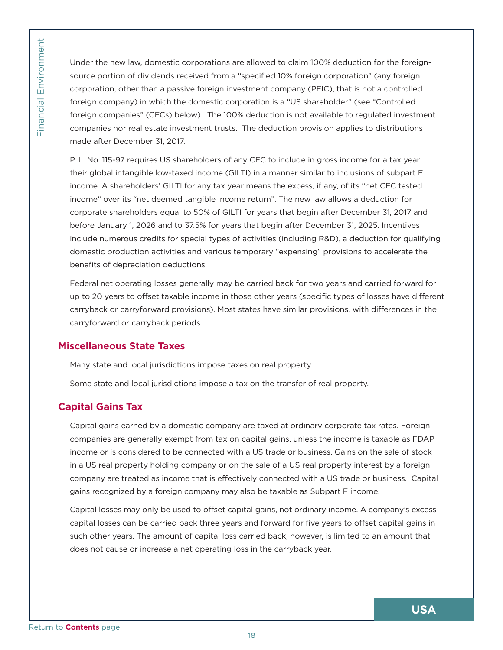Under the new law, domestic corporations are allowed to claim 100% deduction for the foreignsource portion of dividends received from a "specified 10% foreign corporation" (any foreign corporation, other than a passive foreign investment company (PFIC), that is not a controlled foreign company) in which the domestic corporation is a "US shareholder" (see "Controlled foreign companies" (CFCs) below). The 100% deduction is not available to regulated investment companies nor real estate investment trusts. The deduction provision applies to distributions made after December 31, 2017.

<span id="page-17-0"></span>Under the ne<br>
source portio<br>
corporation, d<br>
foreign companies no<br>
made after D<br>
P. L. No. 115-9<br>
their global ir<br>
income. A shi income over<br>
corporate shi<br>
before Janua<br>
include nume<br>
domestic pro<br>
benefits of de<br>
Federal P. L. No. 115-97 requires US shareholders of any CFC to include in gross income for a tax year their global intangible low-taxed income (GILTI) in a manner similar to inclusions of subpart F income. A shareholders' GILTI for any tax year means the excess, if any, of its "net CFC tested income" over its "net deemed tangible income return". The new law allows a deduction for corporate shareholders equal to 50% of GILTI for years that begin after December 31, 2017 and before January 1, 2026 and to 37.5% for years that begin after December 31, 2025. Incentives include numerous credits for special types of activities (including R&D), a deduction for qualifying domestic production activities and various temporary "expensing" provisions to accelerate the benefits of depreciation deductions.

Federal net operating losses generally may be carried back for two years and carried forward for up to 20 years to offset taxable income in those other years (specific types of losses have different carryback or carryforward provisions). Most states have similar provisions, with differences in the carryforward or carryback periods.

## **Miscellaneous State Taxes**

Many state and local jurisdictions impose taxes on real property.

Some state and local jurisdictions impose a tax on the transfer of real property.

## **Capital Gains Tax**

Capital gains earned by a domestic company are taxed at ordinary corporate tax rates. Foreign companies are generally exempt from tax on capital gains, unless the income is taxable as FDAP income or is considered to be connected with a US trade or business. Gains on the sale of stock in a US real property holding company or on the sale of a US real property interest by a foreign company are treated as income that is effectively connected with a US trade or business. Capital gains recognized by a foreign company may also be taxable as Subpart F income.

Capital losses may only be used to offset capital gains, not ordinary income. A company's excess capital losses can be carried back three years and forward for five years to offset capital gains in such other years. The amount of capital loss carried back, however, is limited to an amount that does not cause or increase a net operating loss in the carryback year.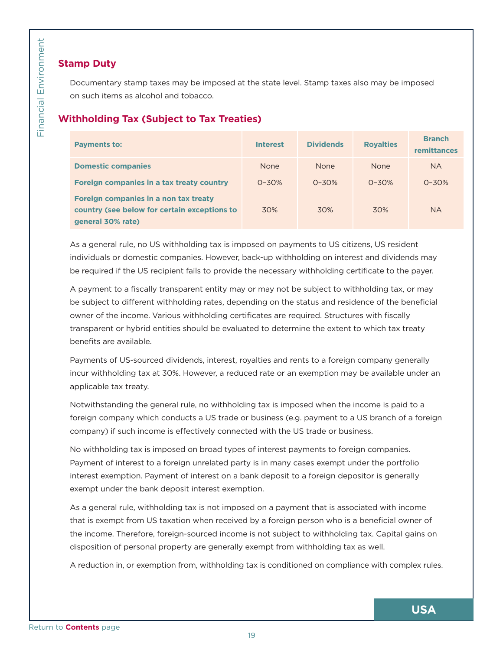## **Stamp Duty**

## **Withholding Tax (Subject to Tax Treaties)**

<span id="page-18-0"></span>

| <b>Withholding Tax (Subject to Tax Treaties)</b>                                                                                                                                                                                                                                                                                                                                                                                   |                 |                  |                  |                                     |
|------------------------------------------------------------------------------------------------------------------------------------------------------------------------------------------------------------------------------------------------------------------------------------------------------------------------------------------------------------------------------------------------------------------------------------|-----------------|------------------|------------------|-------------------------------------|
| <b>Payments to:</b>                                                                                                                                                                                                                                                                                                                                                                                                                | <b>Interest</b> | <b>Dividends</b> | <b>Royalties</b> | <b>Branch</b><br><b>remittances</b> |
| <b>Domestic companies</b>                                                                                                                                                                                                                                                                                                                                                                                                          | <b>None</b>     | None             | None             |                                     |
| Foreign companies in a tax treaty country                                                                                                                                                                                                                                                                                                                                                                                          | $0 - 30%$       | $0 - 30%$        | $0 - 30%$        | $0 - 30%$                           |
| Foreign companies in a non tax treaty<br>country (see below for certain exceptions to<br>general 30% rate)                                                                                                                                                                                                                                                                                                                         | 30%             | 30%              | 30%              |                                     |
| As a general rule, no US withholding tax is imposed on payments to US citizens, US resident<br>individuals or domestic companies. However, back-up withholding on interest and dividends may<br>be required if the US recipient fails to provide the necessary withholding certificate to the payer.                                                                                                                               |                 |                  |                  |                                     |
| A payment to a fiscally transparent entity may or may not be subject to withholding tax, or may<br>be subject to different withholding rates, depending on the status and residence of the beneficial<br>owner of the income. Various withholding certificates are required. Structures with fiscally<br>transparent or hybrid entities should be evaluated to determine the extent to which tax treaty<br>benefits are available. |                 |                  |                  |                                     |
| Payments of US-sourced dividends, interest, royalties and rents to a foreign company generally<br>incur withholding tax at 30%. However, a reduced rate or an exemption may be available under an<br>applicable tax treaty.                                                                                                                                                                                                        |                 |                  |                  |                                     |
| Notwithstanding the general rule, no withholding tax is imposed when the income is paid to a<br>foreign company which conducts a US trade or business (e.g. payment to a US branch of a foreign<br>company) if such income is effectively connected with the US trade or business.                                                                                                                                                 |                 |                  |                  |                                     |
| No withholding tax is imposed on broad types of interest payments to foreign companies.<br>Payment of interest to a foreign unrelated party is in many cases exempt under the portfolio<br>interest exemption. Payment of interest on a bank deposit to a foreign depositor is generally<br>exempt under the bank deposit interest exemption.                                                                                      |                 |                  |                  |                                     |
|                                                                                                                                                                                                                                                                                                                                                                                                                                    |                 |                  |                  |                                     |
| As a general rule, withholding tax is not imposed on a payment that is associated with income<br>that is exempt from US taxation when received by a foreign person who is a beneficial owner of<br>the income. Therefore, foreign-sourced income is not subject to withholding tax. Capital gains on<br>disposition of personal property are generally exempt from withholding tax as well.                                        |                 |                  |                  |                                     |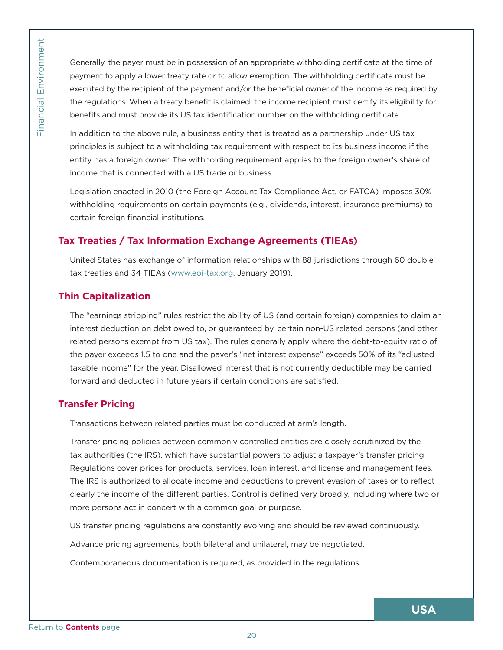Generally, the payer must be in possession of an appropriate withholding certificate at the time of payment to apply a lower treaty rate or to allow exemption. The withholding certificate must be executed by the recipient of the payment and/or the beneficial owner of the income as required by the regulations. When a treaty benefit is claimed, the income recipient must certify its eligibility for benefits and must provide its US tax identification number on the withholding certificate.

In addition to the above rule, a business entity that is treated as a partnership under US tax principles is subject to a withholding tax requirement with respect to its business income if the entity has a foreign owner. The withholding requirement applies to the foreign owner's share of income that is connected with a US trade or business.

Legislation enacted in 2010 (the Foreign Account Tax Compliance Act, or FATCA) imposes 30% withholding requirements on certain payments (e.g., dividends, interest, insurance premiums) to certain foreign financial institutions.

## **Tax Treaties / Tax Information Exchange Agreements (TIEAs)**

United States has exchange of information relationships with 88 jurisdictions through 60 double tax treaties and 34 TIEAs (www.eoi-tax.org, January 2019).

## **Thin Capitalization**

<span id="page-19-0"></span>Exercise Contents page [Return to](#page-5-0) **Contents** page Return to **Contents** page Return to **Contents** page Return to **Contents** page Return to **Contents** page Return to **Contents** page Return to **Contents** page Return to **Conten** The "earnings stripping" rules restrict the ability of US (and certain foreign) companies to claim an interest deduction on debt owed to, or guaranteed by, certain non-US related persons (and other related persons exempt from US tax). The rules generally apply where the debt-to-equity ratio of the payer exceeds 1.5 to one and the payer's "net interest expense" exceeds 50% of its "adjusted taxable income" for the year. Disallowed interest that is not currently deductible may be carried forward and deducted in future years if certain conditions are satisfied.

## **Transfer Pricing**

Transactions between related parties must be conducted at arm's length.

Transfer pricing policies between commonly controlled entities are closely scrutinized by the tax authorities (the IRS), which have substantial powers to adjust a taxpayer's transfer pricing. Regulations cover prices for products, services, loan interest, and license and management fees. The IRS is authorized to allocate income and deductions to prevent evasion of taxes or to reflect clearly the income of the different parties. Control is defined very broadly, including where two or more persons act in concert with a common goal or purpose.

US transfer pricing regulations are constantly evolving and should be reviewed continuously.

Advance pricing agreements, both bilateral and unilateral, may be negotiated.

Contemporaneous documentation is required, as provided in the regulations.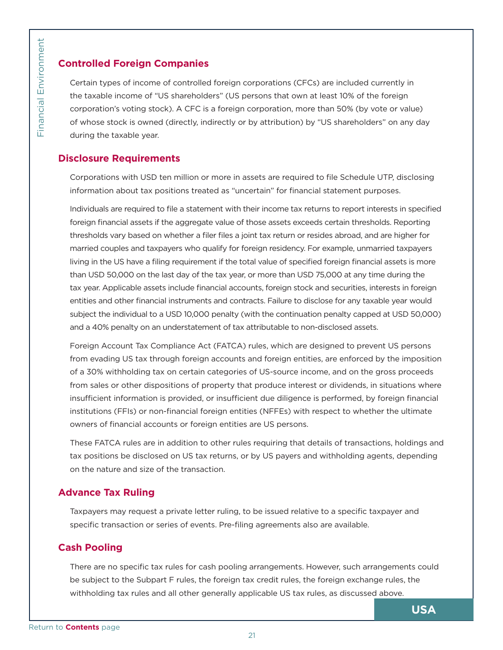## **Controlled Foreign Companies**

Certain types of income of controlled foreign corporations (CFCs) are included currently in the taxable income of "US shareholders" (US persons that own at least 10% of the foreign corporation's voting stock). A CFC is a foreign corporation, more than 50% (by vote or value) of whose stock is owned (directly, indirectly or by attribution) by "US shareholders" on any day during the taxable year.

## **Disclosure Requirements**

Corporations with USD ten million or more in assets are required to file Schedule UTP, disclosing information about tax positions treated as "uncertain" for financial statement purposes.

<span id="page-20-0"></span>Frace **Controlled F**<br>
Certain types<br>
the taxable in<br>
corporation's<br>
during the tax<br> **Disclosure R**<br>
Corporations<br>
information a<br>
Individuals are<br>
foreign finance<br>
thresholds van<br>
married coupl<br>
living in the U<br>
than USD 50 Individuals are required to file a statement with their income tax returns to report interests in specified foreign financial assets if the aggregate value of those assets exceeds certain thresholds. Reporting thresholds vary based on whether a filer files a joint tax return or resides abroad, and are higher for married couples and taxpayers who qualify for foreign residency. For example, unmarried taxpayers living in the US have a filing requirement if the total value of specified foreign financial assets is more than USD 50,000 on the last day of the tax year, or more than USD 75,000 at any time during the tax year. Applicable assets include financial accounts, foreign stock and securities, interests in foreign entities and other financial instruments and contracts. Failure to disclose for any taxable year would subject the individual to a USD 10,000 penalty (with the continuation penalty capped at USD 50,000) and a 40% penalty on an understatement of tax attributable to non-disclosed assets.

Foreign Account Tax Compliance Act (FATCA) rules, which are designed to prevent US persons from evading US tax through foreign accounts and foreign entities, are enforced by the imposition of a 30% withholding tax on certain categories of US-source income, and on the gross proceeds from sales or other dispositions of property that produce interest or dividends, in situations where insufficient information is provided, or insufficient due diligence is performed, by foreign financial institutions (FFIs) or non-financial foreign entities (NFFEs) with respect to whether the ultimate owners of financial accounts or foreign entities are US persons.

These FATCA rules are in addition to other rules requiring that details of transactions, holdings and tax positions be disclosed on US tax returns, or by US payers and withholding agents, depending on the nature and size of the transaction.

## **Advance Tax Ruling**

Taxpayers may request a private letter ruling, to be issued relative to a specific taxpayer and specific transaction or series of events. Pre-filing agreements also are available.

## **Cash Pooling**

There are no specific tax rules for cash pooling arrangements. However, such arrangements could be subject to the Subpart F rules, the foreign tax credit rules, the foreign exchange rules, the withholding tax rules and all other generally applicable US tax rules, as discussed above.

**USA**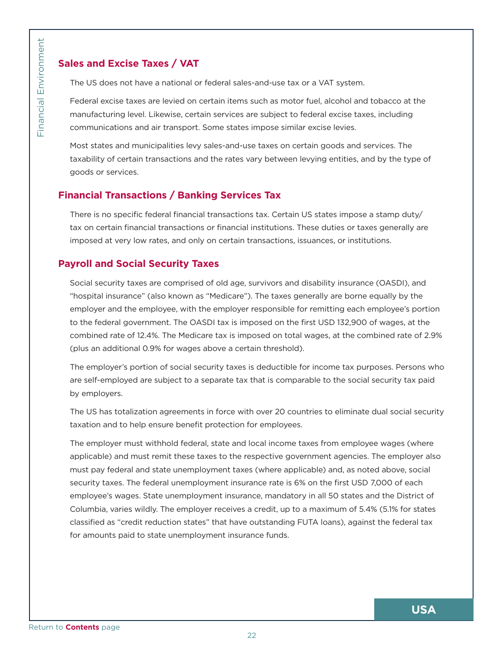## **Sales and Excise Taxes / VAT**

The US does not have a national or federal sales-and-use tax or a VAT system.

Federal excise taxes are levied on certain items such as motor fuel, alcohol and tobacco at the manufacturing level. Likewise, certain services are subject to federal excise taxes, including communications and air transport. Some states impose similar excise levies.

Most states and municipalities levy sales-and-use taxes on certain goods and services. The taxability of certain transactions and the rates vary between levying entities, and by the type of goods or services.

## **Financial Transactions / Banking Services Tax**

There is no specific federal financial transactions tax. Certain US states impose a stamp duty/ tax on certain financial transactions or financial institutions. These duties or taxes generally are imposed at very low rates, and only on certain transactions, issuances, or institutions.

## **Payroll and Social Security Taxes**

Social security taxes are comprised of old age, survivors and disability insurance (OASDI), and "hospital insurance" (also known as "Medicare"). The taxes generally are borne equally by the employer and the employee, with the employer responsible for remitting each employee's portion to the federal government. The OASDI tax is imposed on the first USD 132,900 of wages, at the combined rate of 12.4%. The Medicare tax is imposed on total wages, at the combined rate of 2.9% (plus an additional 0.9% for wages above a certain threshold).

The employer's portion of social security taxes is deductible for income tax purposes. Persons who are self-employed are subject to a separate tax that is comparable to the social security tax paid by employers.

The US has totalization agreements in force with over 20 countries to eliminate dual social security taxation and to help ensure benefit protection for employees.

<span id="page-21-0"></span>Examples and Examples of The US does<br>
The US does<br>
Federal exciss<br>
manufacturing<br>
communicatii<br>
Most states a<br>
taxability of c<br>
goods or served<br> **Financial Tra**<br>
There is no sp<br>
tax on certair<br>
imposed at w<br> **Payroll and S** The employer must withhold federal, state and local income taxes from employee wages (where applicable) and must remit these taxes to the respective government agencies. The employer also must pay federal and state unemployment taxes (where applicable) and, as noted above, social security taxes. The federal unemployment insurance rate is 6% on the first USD 7,000 of each employee's wages. State unemployment insurance, mandatory in all 50 states and the District of Columbia, varies wildly. The employer receives a credit, up to a maximum of 5.4% (5.1% for states classified as "credit reduction states" that have outstanding FUTA loans), against the federal tax for amounts paid to state unemployment insurance funds.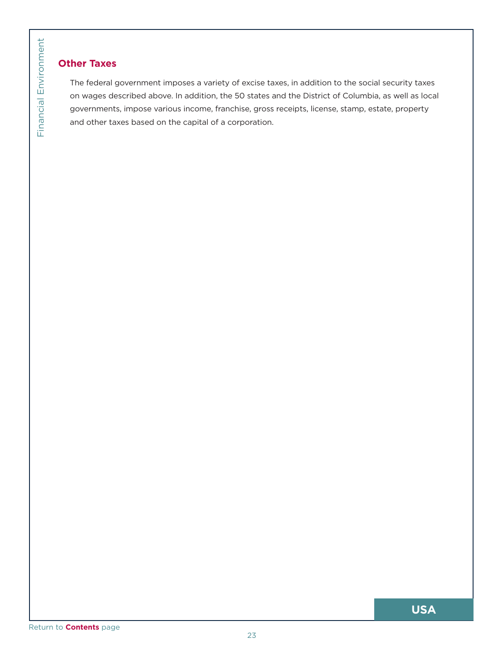# Financial Environment

## **Other Taxes**

<span id="page-22-0"></span>**COMPAT Taxes**<br>The federal governments<br>and other taxes<br>and other taxes<br>[Return to](#page-5-0) **Contents** page The federal government imposes a variety of excise taxes, in addition to the social security taxes on wages described above. In addition, the 50 states and the District of Columbia, as well as local governments, impose various income, franchise, gross receipts, license, stamp, estate, property and other taxes based on the capital of a corporation.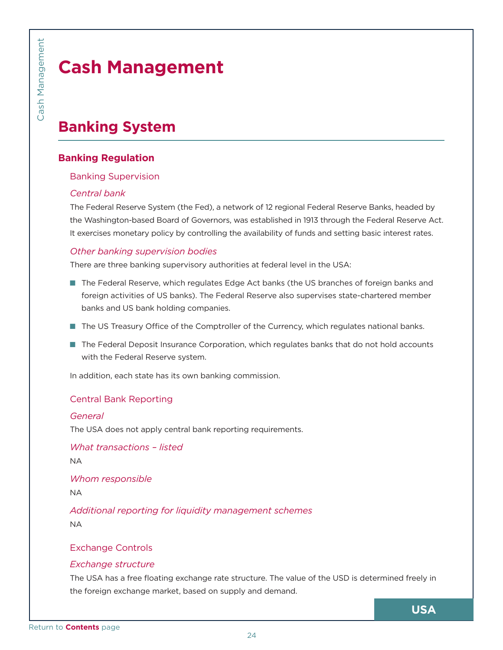# **Cash Management**

# **Banking System**

## **Banking Regulation**

#### Banking Supervision

#### *Central bank*

<span id="page-23-0"></span>**Example 18 Cash Manufor Sanking Reg**<br> **Banking Reg**<br> **Banking Su**<br>
Central ban<br>
The Federal F<br>
the Washingt<br>
It exercises mother bank.<br>
There are three are three origin ac<br>
In the Geder origin ac<br>
In the US Tree Feder<br>
wi The Federal Reserve System (the Fed), a network of 12 regional Federal Reserve Banks, headed by the Washington-based Board of Governors, was established in 1913 through the Federal Reserve Act. It exercises monetary policy by controlling the availability of funds and setting basic interest rates.

## *Other banking supervision bodies*

There are three banking supervisory authorities at federal level in the USA:

- **The Federal Reserve, which regulates Edge Act banks (the US branches of foreign banks and** foreign activities of US banks). The Federal Reserve also supervises state-chartered member banks and US bank holding companies.
- The US Treasury Office of the Comptroller of the Currency, which regulates national banks.
- The Federal Deposit Insurance Corporation, which regulates banks that do not hold accounts with the Federal Reserve system.

In addition, each state has its own banking commission.

## Central Bank Reporting

#### *General*

The USA does not apply central bank reporting requirements.

*What transactions – listed* NA

*Whom responsible*

NA

*Additional reporting for liquidity management schemes* NA

## Exchange Controls

## *Exchange structure*

The USA has a free floating exchange rate structure. The value of the USD is determined freely in the foreign exchange market, based on supply and demand.

**USA**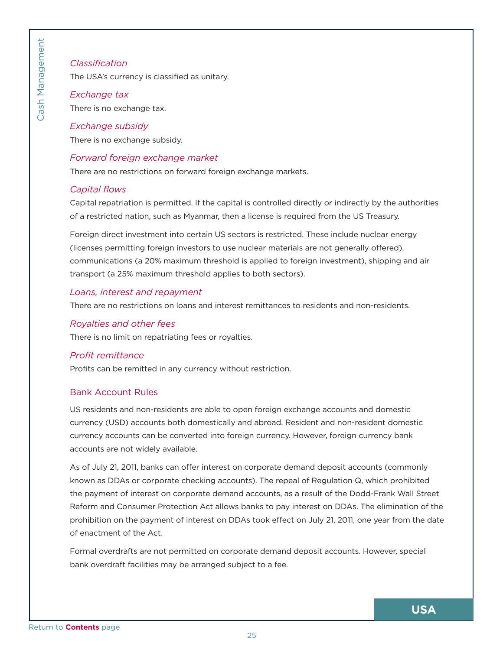#### *Classification*

The USA's currency is classified as unitary.

## *Exchange tax* There is no exchange tax.

#### *Exchange subsidy*

There is no exchange subsidy.

#### *Forward foreign exchange market*

There are no restrictions on forward foreign exchange markets.

#### *Capital flows*

Capital repatriation is permitted. If the capital is controlled directly or indirectly by the authorities of a restricted nation, such as Myanmar, then a license is required from the US Treasury.

Foreign direct investment into certain US sectors is restricted. These include nuclear energy (licenses permitting foreign investors to use nuclear materials are not generally offered), communications (a 20% maximum threshold is applied to foreign investment), shipping and air transport (a 25% maximum threshold applies to both sectors).

#### *Loans, interest and repayment*

There are no restrictions on loans and interest remittances to residents and non-residents.

#### *Royalties and other fees*

There is no limit on repatriating fees or royalties.

#### *Profit remittance*

Profits can be remitted in any currency without restriction.

#### Bank Account Rules

US residents and non-residents are able to open foreign exchange accounts and domestic currency (USD) accounts both domestically and abroad. Resident and non-resident domestic currency accounts can be converted into foreign currency. However, foreign currency bank accounts are not widely available.

<span id="page-24-0"></span>Classificatic<br>
The USA's cu<br>
Exchange to<br>
Exchange s<br>
There is no es<br>
Exchange s<br>
There is no es<br>
Forward for<br>
There are no<br>
Capital flow<br>
Capital repatt<br>
of a restricted<br>
Foreign direc<br>
(licenses perr<br>
communication<br>
tran As of July 21, 2011, banks can offer interest on corporate demand deposit accounts (commonly known as DDAs or corporate checking accounts). The repeal of Regulation Q, which prohibited the payment of interest on corporate demand accounts, as a result of the Dodd-Frank Wall Street Reform and Consumer Protection Act allows banks to pay interest on DDAs. The elimination of the prohibition on the payment of interest on DDAs took effect on July 21, 2011, one year from the date of enactment of the Act.

Formal overdrafts are not permitted on corporate demand deposit accounts. However, special bank overdraft facilities may be arranged subject to a fee.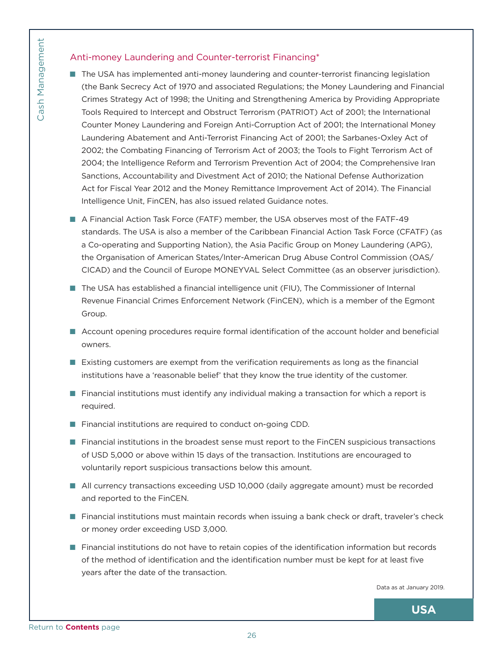## Anti-money Laundering and Counter-terrorist Financing\*

- <span id="page-25-0"></span>Francisco Contents<br>
and Francisco Contents<br>
Contents Street<br>
Counter M<br>
Launderin<br>
2002; the<br>
Act for Fis<br>
Intelligence<br> **Contents**<br>
Act for Fis<br>
Intelligence<br> **CONACT ARE CONACT ARE CONACT ACTION ACCOUNTING CONACT ACTION The USA has implemented anti-money laundering and counter-terrorist financing legislation** (the Bank Secrecy Act of 1970 and associated Regulations; the Money Laundering and Financial Crimes Strategy Act of 1998; the Uniting and Strengthening America by Providing Appropriate Tools Required to Intercept and Obstruct Terrorism (PATRIOT) Act of 2001; the International Counter Money Laundering and Foreign Anti-Corruption Act of 2001; the International Money Laundering Abatement and Anti-Terrorist Financing Act of 2001; the Sarbanes-Oxley Act of 2002; the Combating Financing of Terrorism Act of 2003; the Tools to Fight Terrorism Act of 2004; the Intelligence Reform and Terrorism Prevention Act of 2004; the Comprehensive Iran Sanctions, Accountability and Divestment Act of 2010; the National Defense Authorization Act for Fiscal Year 2012 and the Money Remittance Improvement Act of 2014). The Financial Intelligence Unit, FinCEN, has also issued related Guidance notes.
	- Q A Financial Action Task Force (FATF) member, the USA observes most of the FATF-49 standards. The USA is also a member of the Caribbean Financial Action Task Force (CFATF) (as a Co-operating and Supporting Nation), the Asia Pacific Group on Money Laundering (APG), the Organisation of American States/Inter-American Drug Abuse Control Commission (OAS/ CICAD) and the Council of Europe MONEYVAL Select Committee (as an observer jurisdiction).
	- The USA has established a financial intelligence unit (FIU), The Commissioner of Internal Revenue Financial Crimes Enforcement Network (FinCEN), which is a member of the Egmont Group.
	- **Account opening procedures require formal identification of the account holder and beneficial** owners.
	- $\blacksquare$  Existing customers are exempt from the verification requirements as long as the financial institutions have a 'reasonable belief' that they know the true identity of the customer.
	- **T** Financial institutions must identify any individual making a transaction for which a report is required.
	- Financial institutions are required to conduct on-going CDD.
	- **T** Financial institutions in the broadest sense must report to the FinCEN suspicious transactions of USD 5,000 or above within 15 days of the transaction. Institutions are encouraged to voluntarily report suspicious transactions below this amount.
	- All currency transactions exceeding USD 10,000 (daily aggregate amount) must be recorded and reported to the FinCEN.
	- **Financial institutions must maintain records when issuing a bank check or draft, traveler's check** or money order exceeding USD 3,000.
	- Financial institutions do not have to retain copies of the identification information but records of the method of identification and the identification number must be kept for at least five years after the date of the transaction.

Data as at January 2019.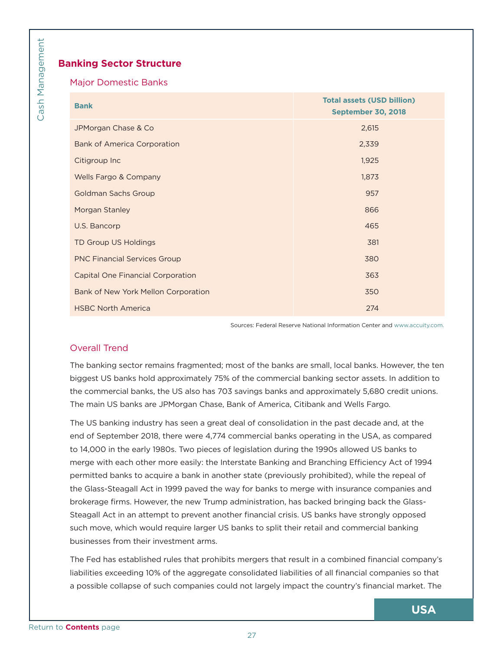## **Banking Sector Structure**

#### Major Domestic Banks

<span id="page-26-0"></span>

|                                                                                                                                                                                                                                                                                                                                                                                                                                                                                                                                                                                                                                                                                                                                                                                                                                                                                                                                                                                                                                                                                                                                                                                                                                                                                                                                 | <b>Total assets (USD billion)</b>                                     |
|---------------------------------------------------------------------------------------------------------------------------------------------------------------------------------------------------------------------------------------------------------------------------------------------------------------------------------------------------------------------------------------------------------------------------------------------------------------------------------------------------------------------------------------------------------------------------------------------------------------------------------------------------------------------------------------------------------------------------------------------------------------------------------------------------------------------------------------------------------------------------------------------------------------------------------------------------------------------------------------------------------------------------------------------------------------------------------------------------------------------------------------------------------------------------------------------------------------------------------------------------------------------------------------------------------------------------------|-----------------------------------------------------------------------|
| <b>Bank</b>                                                                                                                                                                                                                                                                                                                                                                                                                                                                                                                                                                                                                                                                                                                                                                                                                                                                                                                                                                                                                                                                                                                                                                                                                                                                                                                     | <b>September 30, 2018</b>                                             |
| JPMorgan Chase & Co                                                                                                                                                                                                                                                                                                                                                                                                                                                                                                                                                                                                                                                                                                                                                                                                                                                                                                                                                                                                                                                                                                                                                                                                                                                                                                             | 2,615                                                                 |
| <b>Bank of America Corporation</b>                                                                                                                                                                                                                                                                                                                                                                                                                                                                                                                                                                                                                                                                                                                                                                                                                                                                                                                                                                                                                                                                                                                                                                                                                                                                                              | 2,339                                                                 |
| Citigroup Inc                                                                                                                                                                                                                                                                                                                                                                                                                                                                                                                                                                                                                                                                                                                                                                                                                                                                                                                                                                                                                                                                                                                                                                                                                                                                                                                   | 1,925                                                                 |
| Wells Fargo & Company                                                                                                                                                                                                                                                                                                                                                                                                                                                                                                                                                                                                                                                                                                                                                                                                                                                                                                                                                                                                                                                                                                                                                                                                                                                                                                           | 1,873                                                                 |
| <b>Goldman Sachs Group</b>                                                                                                                                                                                                                                                                                                                                                                                                                                                                                                                                                                                                                                                                                                                                                                                                                                                                                                                                                                                                                                                                                                                                                                                                                                                                                                      | 957                                                                   |
| Morgan Stanley                                                                                                                                                                                                                                                                                                                                                                                                                                                                                                                                                                                                                                                                                                                                                                                                                                                                                                                                                                                                                                                                                                                                                                                                                                                                                                                  | 866                                                                   |
| U.S. Bancorp                                                                                                                                                                                                                                                                                                                                                                                                                                                                                                                                                                                                                                                                                                                                                                                                                                                                                                                                                                                                                                                                                                                                                                                                                                                                                                                    | 465                                                                   |
| TD Group US Holdings                                                                                                                                                                                                                                                                                                                                                                                                                                                                                                                                                                                                                                                                                                                                                                                                                                                                                                                                                                                                                                                                                                                                                                                                                                                                                                            | 381                                                                   |
| <b>PNC Financial Services Group</b>                                                                                                                                                                                                                                                                                                                                                                                                                                                                                                                                                                                                                                                                                                                                                                                                                                                                                                                                                                                                                                                                                                                                                                                                                                                                                             | 380                                                                   |
| <b>Capital One Financial Corporation</b>                                                                                                                                                                                                                                                                                                                                                                                                                                                                                                                                                                                                                                                                                                                                                                                                                                                                                                                                                                                                                                                                                                                                                                                                                                                                                        | 363                                                                   |
| Bank of New York Mellon Corporation                                                                                                                                                                                                                                                                                                                                                                                                                                                                                                                                                                                                                                                                                                                                                                                                                                                                                                                                                                                                                                                                                                                                                                                                                                                                                             | 350                                                                   |
| <b>HSBC North America</b>                                                                                                                                                                                                                                                                                                                                                                                                                                                                                                                                                                                                                                                                                                                                                                                                                                                                                                                                                                                                                                                                                                                                                                                                                                                                                                       | 274                                                                   |
|                                                                                                                                                                                                                                                                                                                                                                                                                                                                                                                                                                                                                                                                                                                                                                                                                                                                                                                                                                                                                                                                                                                                                                                                                                                                                                                                 | Sources: Federal Reserve National Information Center and www.accuity. |
| <b>Overall Trend</b>                                                                                                                                                                                                                                                                                                                                                                                                                                                                                                                                                                                                                                                                                                                                                                                                                                                                                                                                                                                                                                                                                                                                                                                                                                                                                                            |                                                                       |
|                                                                                                                                                                                                                                                                                                                                                                                                                                                                                                                                                                                                                                                                                                                                                                                                                                                                                                                                                                                                                                                                                                                                                                                                                                                                                                                                 |                                                                       |
| The banking sector remains fragmented; most of the banks are small, local banks. However, the<br>biggest US banks hold approximately 75% of the commercial banking sector assets. In addition<br>the commercial banks, the US also has 703 savings banks and approximately 5,680 credit unior<br>The main US banks are JPMorgan Chase, Bank of America, Citibank and Wells Fargo.<br>The US banking industry has seen a great deal of consolidation in the past decade and, at the<br>end of September 2018, there were 4,774 commercial banks operating in the USA, as compared<br>to 14,000 in the early 1980s. Two pieces of legislation during the 1990s allowed US banks to<br>merge with each other more easily: the Interstate Banking and Branching Efficiency Act of 1994<br>permitted banks to acquire a bank in another state (previously prohibited), while the repeal of<br>the Glass-Steagall Act in 1999 paved the way for banks to merge with insurance companies and<br>brokerage firms. However, the new Trump administration, has backed bringing back the Glass-<br>Steagall Act in an attempt to prevent another financial crisis. US banks have strongly opposed<br>such move, which would require larger US banks to split their retail and commercial banking<br>businesses from their investment arms. |                                                                       |

Sources: Federal Reserve National Information Center and [www.accuity.com](www.bankersalmanac.com).

## Overall Trend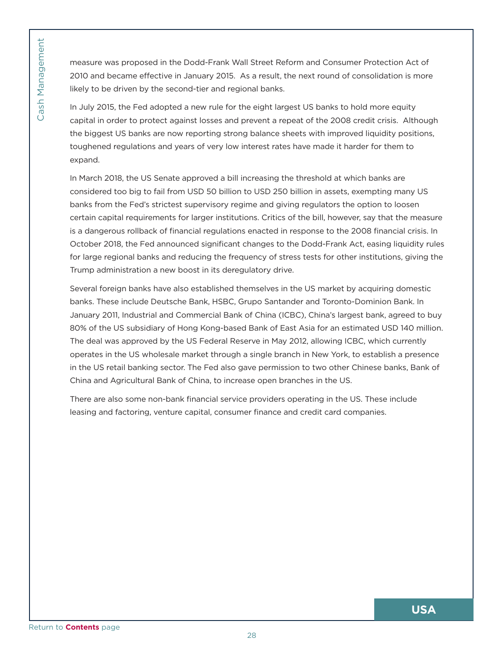measure was proposed in the Dodd-Frank Wall Street Reform and Consumer Protection Act of 2010 and became effective in January 2015. As a result, the next round of consolidation is more likely to be driven by the second-tier and regional banks.

In July 2015, the Fed adopted a new rule for the eight largest US banks to hold more equity capital in order to protect against losses and prevent a repeat of the 2008 credit crisis. Although the biggest US banks are now reporting strong balance sheets with improved liquidity positions, toughened regulations and years of very low interest rates have made it harder for them to expand.

In March 2018, the US Senate approved a bill increasing the threshold at which banks are considered too big to fail from USD 50 billion to USD 250 billion in assets, exempting many US banks from the Fed's strictest supervisory regime and giving regulators the option to loosen certain capital requirements for larger institutions. Critics of the bill, however, say that the measure is a dangerous rollback of financial regulations enacted in response to the 2008 financial crisis. In October 2018, the Fed announced significant changes to the Dodd-Frank Act, easing liquidity rules for large regional banks and reducing the frequency of stress tests for other institutions, giving the Trump administration a new boost in its deregulatory drive.

Fraction Management Was 2010 and becomes in the biggest U<br>
C<sub>G</sub> in July 2015, the cash Content of the biggest U<br>
toughened re expand.<br>
In March 2018 considered to banks from the certain capitz<br>
is a dangeroud October 2018 Several foreign banks have also established themselves in the US market by acquiring domestic banks. These include Deutsche Bank, HSBC, Grupo Santander and Toronto-Dominion Bank. In January 2011, Industrial and Commercial Bank of China (ICBC), China's largest bank, agreed to buy 80% of the US subsidiary of Hong Kong-based Bank of East Asia for an estimated USD 140 million. The deal was approved by the US Federal Reserve in May 2012, allowing ICBC, which currently operates in the US wholesale market through a single branch in New York, to establish a presence in the US retail banking sector. The Fed also gave permission to two other Chinese banks, Bank of China and Agricultural Bank of China, to increase open branches in the US.

There are also some non-bank financial service providers operating in the US. These include leasing and factoring, venture capital, consumer finance and credit card companies.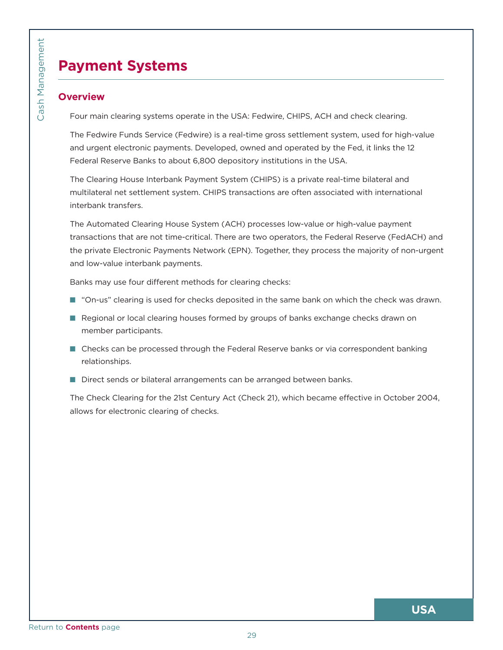# **Payment Systems**

## **Overview**

Four main clearing systems operate in the USA: Fedwire, CHIPS, ACH and check clearing.

The Fedwire Funds Service (Fedwire) is a real-time gross settlement system, used for high-value and urgent electronic payments. Developed, owned and operated by the Fed, it links the 12 Federal Reserve Banks to about 6,800 depository institutions in the USA.

The Clearing House Interbank Payment System (CHIPS) is a private real-time bilateral and multilateral net settlement system. CHIPS transactions are often associated with international interbank transfers.

<span id="page-28-0"></span>**Payment**<br>
Coverview<br>
Four main cle<br>
The Fedwire<br>
The Clearing<br>
multilateral Reservie<br>
The Clearing<br>
multilateral n<br>
interbank trans<br>
The Automat<br>
transactions the private El<br>
and low-value<br>
Banks may us<br>
" "On-us" cl<br>
Reg The Automated Clearing House System (ACH) processes low-value or high-value payment transactions that are not time-critical. There are two operators, the Federal Reserve (FedACH) and the private Electronic Payments Network (EPN). Together, they process the majority of non-urgent and low-value interbank payments.

Banks may use four different methods for clearing checks:

- "On-us" clearing is used for checks deposited in the same bank on which the check was drawn.
- **E** Regional or local clearing houses formed by groups of banks exchange checks drawn on member participants.
- **D** Checks can be processed through the Federal Reserve banks or via correspondent banking relationships.
- Direct sends or bilateral arrangements can be arranged between banks.

The Check Clearing for the 21st Century Act (Check 21), which became effective in October 2004, allows for electronic clearing of checks.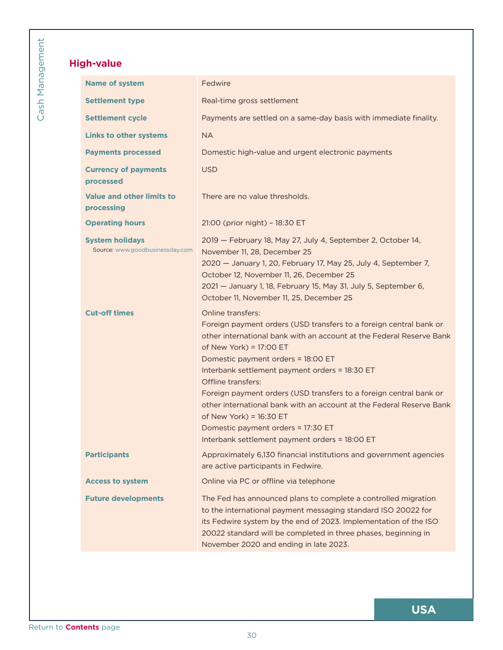## **High-value**

<span id="page-29-0"></span>

| <b>Name of system</b>                                     | Fedwire                                                                                                                                                                                                                                                                                                         |
|-----------------------------------------------------------|-----------------------------------------------------------------------------------------------------------------------------------------------------------------------------------------------------------------------------------------------------------------------------------------------------------------|
| <b>Settlement type</b>                                    | Real-time gross settlement                                                                                                                                                                                                                                                                                      |
| <b>Settlement cycle</b>                                   | Payments are settled on a same-day basis with immediate finality.                                                                                                                                                                                                                                               |
| <b>Links to other systems</b>                             | <b>NA</b>                                                                                                                                                                                                                                                                                                       |
| <b>Payments processed</b>                                 | Domestic high-value and urgent electronic payments                                                                                                                                                                                                                                                              |
| <b>Currency of payments</b><br>processed                  | <b>USD</b>                                                                                                                                                                                                                                                                                                      |
| Value and other limits to<br>processing                   | There are no value thresholds.                                                                                                                                                                                                                                                                                  |
| <b>Operating hours</b>                                    | 21:00 (prior night) - 18:30 ET                                                                                                                                                                                                                                                                                  |
| <b>System holidays</b><br>Source: www.goodbusinessday.com | 2019 - February 18, May 27, July 4, September 2, October 14,<br>November 11, 28, December 25<br>2020 - January 1, 20, February 17, May 25, July 4, September 7,                                                                                                                                                 |
|                                                           | October 12, November 11, 26, December 25<br>2021 - January 1, 18, February 15, May 31, July 5, September 6,                                                                                                                                                                                                     |
|                                                           | October 11, November 11, 25, December 25                                                                                                                                                                                                                                                                        |
| <b>Cut-off times</b>                                      | <b>Online transfers:</b><br>Foreign payment orders (USD transfers to a foreign central bank or<br>other international bank with an account at the Federal Reserve Bank<br>of New York) = 17:00 ET<br>Domestic payment orders = 18:00 ET<br>Interbank settlement payment orders = 18:30 ET<br>Offline transfers: |
|                                                           | Foreign payment orders (USD transfers to a foreign central bank or<br>other international bank with an account at the Federal Reserve Bank<br>of New York) = $16:30$ ET<br>Domestic payment orders = 17:30 ET<br>Interbank settlement payment orders = 18:00 ET                                                 |
| <b>Participants</b>                                       | Approximately 6,130 financial institutions and government agencies<br>are active participants in Fedwire.                                                                                                                                                                                                       |
| <b>Access to system</b>                                   | Online via PC or offline via telephone                                                                                                                                                                                                                                                                          |
| <b>Future developments</b>                                | The Fed has announced plans to complete a controlled migration<br>to the international payment messaging standard ISO 20022 for                                                                                                                                                                                 |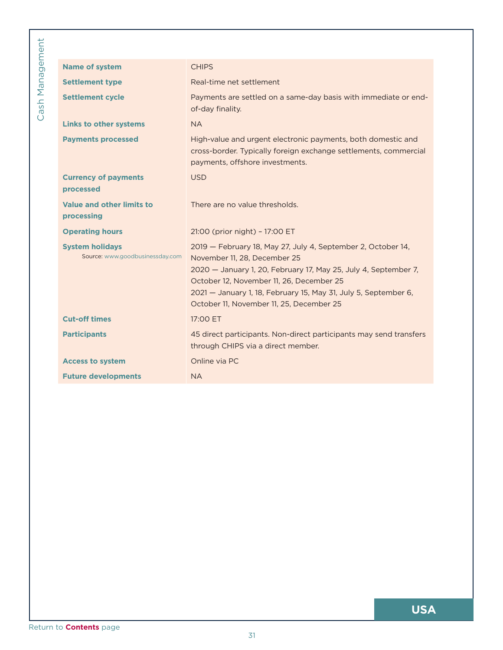| Real-time net settlement<br><b>Settlement type</b><br><b>Settlement cycle</b><br>of-day finality.<br><b>Links to other systems</b><br><b>NA</b><br><b>Payments processed</b><br>payments, offshore investments.<br><b>Currency of payments</b><br><b>USD</b><br>processed<br><b>Value and other limits to</b><br>There are no value thresholds.<br>processing<br><b>Operating hours</b><br>21:00 (prior night) - 17:00 ET<br><b>System holidays</b><br>Source: www.goodbusinessday.com<br>November 11, 28, December 25<br>October 12, November 11, 26, December 25<br>October 11, November 11, 25, December 25<br><b>Cut-off times</b><br>17:00 ET<br><b>Participants</b><br>through CHIPS via a direct member.<br>Online via PC<br><b>Access to system</b><br><b>Future developments</b><br><b>NA</b> | 2019 - February 18, May 27, July 4, September 2, October 14,<br>2020 - January 1, 20, February 17, May 25, July 4, September 7,<br>2021 - January 1, 18, February 15, May 31, July 5, September 6,<br>45 direct participants. Non-direct participants may send transfers | <b>Name of system</b> | <b>CHIPS</b>                                                                                                                     |
|--------------------------------------------------------------------------------------------------------------------------------------------------------------------------------------------------------------------------------------------------------------------------------------------------------------------------------------------------------------------------------------------------------------------------------------------------------------------------------------------------------------------------------------------------------------------------------------------------------------------------------------------------------------------------------------------------------------------------------------------------------------------------------------------------------|--------------------------------------------------------------------------------------------------------------------------------------------------------------------------------------------------------------------------------------------------------------------------|-----------------------|----------------------------------------------------------------------------------------------------------------------------------|
|                                                                                                                                                                                                                                                                                                                                                                                                                                                                                                                                                                                                                                                                                                                                                                                                        |                                                                                                                                                                                                                                                                          |                       |                                                                                                                                  |
|                                                                                                                                                                                                                                                                                                                                                                                                                                                                                                                                                                                                                                                                                                                                                                                                        |                                                                                                                                                                                                                                                                          |                       | Payments are settled on a same-day basis with immediate or end-                                                                  |
|                                                                                                                                                                                                                                                                                                                                                                                                                                                                                                                                                                                                                                                                                                                                                                                                        |                                                                                                                                                                                                                                                                          |                       |                                                                                                                                  |
|                                                                                                                                                                                                                                                                                                                                                                                                                                                                                                                                                                                                                                                                                                                                                                                                        |                                                                                                                                                                                                                                                                          |                       | High-value and urgent electronic payments, both domestic and<br>cross-border. Typically foreign exchange settlements, commercial |
|                                                                                                                                                                                                                                                                                                                                                                                                                                                                                                                                                                                                                                                                                                                                                                                                        |                                                                                                                                                                                                                                                                          |                       |                                                                                                                                  |
|                                                                                                                                                                                                                                                                                                                                                                                                                                                                                                                                                                                                                                                                                                                                                                                                        |                                                                                                                                                                                                                                                                          |                       |                                                                                                                                  |
|                                                                                                                                                                                                                                                                                                                                                                                                                                                                                                                                                                                                                                                                                                                                                                                                        |                                                                                                                                                                                                                                                                          |                       |                                                                                                                                  |
|                                                                                                                                                                                                                                                                                                                                                                                                                                                                                                                                                                                                                                                                                                                                                                                                        |                                                                                                                                                                                                                                                                          |                       |                                                                                                                                  |
|                                                                                                                                                                                                                                                                                                                                                                                                                                                                                                                                                                                                                                                                                                                                                                                                        |                                                                                                                                                                                                                                                                          |                       |                                                                                                                                  |
|                                                                                                                                                                                                                                                                                                                                                                                                                                                                                                                                                                                                                                                                                                                                                                                                        |                                                                                                                                                                                                                                                                          |                       |                                                                                                                                  |
|                                                                                                                                                                                                                                                                                                                                                                                                                                                                                                                                                                                                                                                                                                                                                                                                        |                                                                                                                                                                                                                                                                          |                       |                                                                                                                                  |
|                                                                                                                                                                                                                                                                                                                                                                                                                                                                                                                                                                                                                                                                                                                                                                                                        |                                                                                                                                                                                                                                                                          |                       |                                                                                                                                  |
|                                                                                                                                                                                                                                                                                                                                                                                                                                                                                                                                                                                                                                                                                                                                                                                                        |                                                                                                                                                                                                                                                                          |                       |                                                                                                                                  |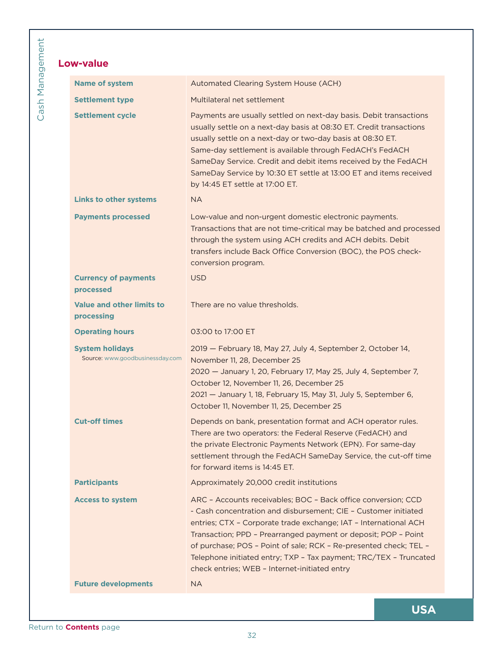## **Low-value**

<span id="page-31-0"></span>

| <b>Name of system</b>                                     | Automated Clearing System House (ACH)                                                                                                                                                                                                                                                                                                                                                                                                                             |
|-----------------------------------------------------------|-------------------------------------------------------------------------------------------------------------------------------------------------------------------------------------------------------------------------------------------------------------------------------------------------------------------------------------------------------------------------------------------------------------------------------------------------------------------|
| <b>Settlement type</b>                                    | Multilateral net settlement                                                                                                                                                                                                                                                                                                                                                                                                                                       |
| <b>Settlement cycle</b>                                   | Payments are usually settled on next-day basis. Debit transactions<br>usually settle on a next-day basis at 08:30 ET. Credit transactions<br>usually settle on a next-day or two-day basis at 08:30 ET.<br>Same-day settlement is available through FedACH's FedACH<br>SameDay Service. Credit and debit items received by the FedACH<br>SameDay Service by 10:30 ET settle at 13:00 ET and items received<br>by 14:45 ET settle at 17:00 ET.                     |
| <b>Links to other systems</b>                             | <b>NA</b>                                                                                                                                                                                                                                                                                                                                                                                                                                                         |
| <b>Payments processed</b>                                 | Low-value and non-urgent domestic electronic payments.<br>Transactions that are not time-critical may be batched and processed<br>through the system using ACH credits and ACH debits. Debit<br>transfers include Back Office Conversion (BOC), the POS check-<br>conversion program.                                                                                                                                                                             |
| <b>Currency of payments</b><br>processed                  | <b>USD</b>                                                                                                                                                                                                                                                                                                                                                                                                                                                        |
| <b>Value and other limits to</b><br>processing            | There are no value thresholds.                                                                                                                                                                                                                                                                                                                                                                                                                                    |
| <b>Operating hours</b>                                    | 03:00 to 17:00 ET                                                                                                                                                                                                                                                                                                                                                                                                                                                 |
| <b>System holidays</b><br>Source: www.goodbusinessday.com | 2019 - February 18, May 27, July 4, September 2, October 14,<br>November 11, 28, December 25<br>2020 - January 1, 20, February 17, May 25, July 4, September 7,<br>October 12, November 11, 26, December 25<br>2021 - January 1, 18, February 15, May 31, July 5, September 6,<br>October 11, November 11, 25, December 25                                                                                                                                        |
| <b>Cut-off times</b>                                      | Depends on bank, presentation format and ACH operator rules.<br>There are two operators: the Federal Reserve (FedACH) and<br>the private Electronic Payments Network (EPN). For same-day<br>settlement through the FedACH SameDay Service, the cut-off time<br>for forward items is 14:45 ET.                                                                                                                                                                     |
| <b>Participants</b>                                       | Approximately 20,000 credit institutions                                                                                                                                                                                                                                                                                                                                                                                                                          |
| <b>Access to system</b>                                   | ARC - Accounts receivables; BOC - Back office conversion; CCD<br>- Cash concentration and disbursement; CIE - Customer initiated<br>entries; CTX - Corporate trade exchange; IAT - International ACH<br>Transaction; PPD - Prearranged payment or deposit; POP - Point<br>of purchase; POS - Point of sale; RCK - Re-presented check; TEL -<br>Telephone initiated entry; TXP - Tax payment; TRC/TEX - Truncated<br>check entries; WEB - Internet-initiated entry |
| <b>Future developments</b>                                | <b>NA</b>                                                                                                                                                                                                                                                                                                                                                                                                                                                         |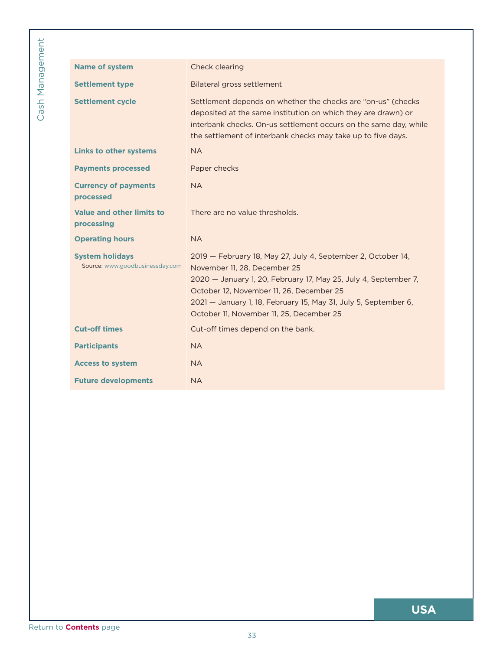| <b>Settlement cycle</b><br>Settlement depends on whether the checks are "on-us" (checks<br>deposited at the same institution on which they are drawn) or<br>interbank checks. On-us settlement occurs on the same day, while<br>the settlement of interbank checks may take up to five days.<br><b>Links to other systems</b><br><b>NA</b><br><b>Payments processed</b><br>Paper checks<br><b>Currency of payments</b><br><b>NA</b><br>processed<br><b>Value and other limits to</b><br>There are no value thresholds.<br>processing<br><b>Operating hours</b><br><b>NA</b><br><b>System holidays</b><br>2019 - February 18, May 27, July 4, September 2, October 14,<br>Source: www.goodbusinessday.com<br>November 11, 28, December 25<br>2020 - January 1, 20, February 17, May 25, July 4, September 7,<br>October 12, November 11, 26, December 25<br>2021 - January 1, 18, February 15, May 31, July 5, September 6,<br>October 11, November 11, 25, December 25<br><b>Cut-off times</b><br>Cut-off times depend on the bank.<br><b>Participants</b><br><b>NA</b><br><b>Access to system</b><br><b>NA</b><br><b>Future developments</b><br><b>NA</b> | <b>Name of system</b>  | Check clearing                    |
|------------------------------------------------------------------------------------------------------------------------------------------------------------------------------------------------------------------------------------------------------------------------------------------------------------------------------------------------------------------------------------------------------------------------------------------------------------------------------------------------------------------------------------------------------------------------------------------------------------------------------------------------------------------------------------------------------------------------------------------------------------------------------------------------------------------------------------------------------------------------------------------------------------------------------------------------------------------------------------------------------------------------------------------------------------------------------------------------------------------------------------------------------------|------------------------|-----------------------------------|
|                                                                                                                                                                                                                                                                                                                                                                                                                                                                                                                                                                                                                                                                                                                                                                                                                                                                                                                                                                                                                                                                                                                                                            | <b>Settlement type</b> | <b>Bilateral gross settlement</b> |
|                                                                                                                                                                                                                                                                                                                                                                                                                                                                                                                                                                                                                                                                                                                                                                                                                                                                                                                                                                                                                                                                                                                                                            |                        |                                   |
|                                                                                                                                                                                                                                                                                                                                                                                                                                                                                                                                                                                                                                                                                                                                                                                                                                                                                                                                                                                                                                                                                                                                                            |                        |                                   |
|                                                                                                                                                                                                                                                                                                                                                                                                                                                                                                                                                                                                                                                                                                                                                                                                                                                                                                                                                                                                                                                                                                                                                            |                        |                                   |
|                                                                                                                                                                                                                                                                                                                                                                                                                                                                                                                                                                                                                                                                                                                                                                                                                                                                                                                                                                                                                                                                                                                                                            |                        |                                   |
|                                                                                                                                                                                                                                                                                                                                                                                                                                                                                                                                                                                                                                                                                                                                                                                                                                                                                                                                                                                                                                                                                                                                                            |                        |                                   |
|                                                                                                                                                                                                                                                                                                                                                                                                                                                                                                                                                                                                                                                                                                                                                                                                                                                                                                                                                                                                                                                                                                                                                            |                        |                                   |
|                                                                                                                                                                                                                                                                                                                                                                                                                                                                                                                                                                                                                                                                                                                                                                                                                                                                                                                                                                                                                                                                                                                                                            |                        |                                   |
|                                                                                                                                                                                                                                                                                                                                                                                                                                                                                                                                                                                                                                                                                                                                                                                                                                                                                                                                                                                                                                                                                                                                                            |                        |                                   |
|                                                                                                                                                                                                                                                                                                                                                                                                                                                                                                                                                                                                                                                                                                                                                                                                                                                                                                                                                                                                                                                                                                                                                            |                        |                                   |
|                                                                                                                                                                                                                                                                                                                                                                                                                                                                                                                                                                                                                                                                                                                                                                                                                                                                                                                                                                                                                                                                                                                                                            |                        |                                   |
|                                                                                                                                                                                                                                                                                                                                                                                                                                                                                                                                                                                                                                                                                                                                                                                                                                                                                                                                                                                                                                                                                                                                                            |                        |                                   |
|                                                                                                                                                                                                                                                                                                                                                                                                                                                                                                                                                                                                                                                                                                                                                                                                                                                                                                                                                                                                                                                                                                                                                            |                        |                                   |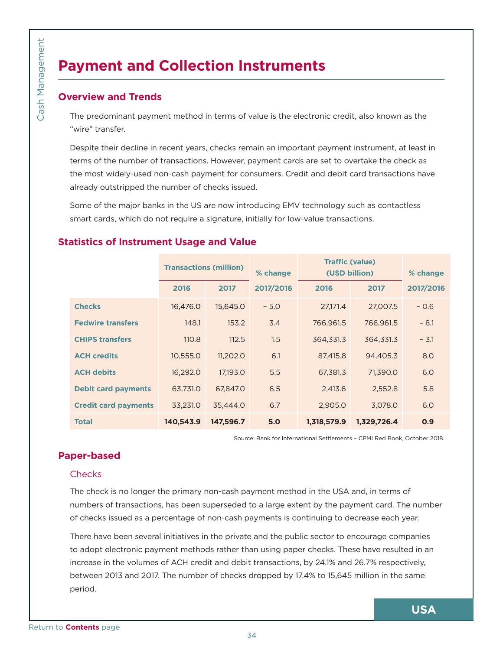# **Payment and Collection Instruments**

## **Overview and Trends**

## **Statistics of Instrument Usage and Value**

<span id="page-33-0"></span>

| The predominant payment method in terms of value is the electronic credit, also known as the<br>"wire" transfer.<br>Despite their decline in recent years, checks remain an important payment instrument, at least in<br>terms of the number of transactions. However, payment cards are set to overtake the check as<br>the most widely-used non-cash payment for consumers. Credit and debit card transactions have<br>already outstripped the number of checks issued.<br>Some of the major banks in the US are now introducing EMV technology such as contactless<br>smart cards, which do not require a signature, initially for low-value transactions.<br><b>Statistics of Instrument Usage and Value</b><br><b>Traffic (value)</b><br><b>Transactions (million)</b><br>% change<br>(USD billion)<br>2017/2016<br>2016<br>2017<br>2016<br>2017<br><b>Checks</b><br>16,476.0<br>15,645.0<br>$-5.0$<br>27,171.4<br>27,007.5<br><b>Fedwire transfers</b><br>148.1<br>766,961.5<br>766,961.5<br>153.2<br>3.4<br><b>CHIPS transfers</b><br>364,331.3<br>110.8<br>112.5<br>1.5<br>364,331.3<br><b>ACH credits</b><br>11,202.0<br>6.1<br>94,405.3<br>10,555.0<br>87,415.8<br><b>ACH debits</b><br>5.5<br>16,292.0<br>17,193.0<br>67,381.3<br>71,390.0<br><b>Debit card payments</b><br>63,731.0<br>67,847.0<br>6.5<br>2,413.6<br>2,552.8<br>33,231.0<br>2,905.0<br>3,078.0<br><b>Credit card payments</b><br>35,444.0<br>6.7<br>140,543.9<br>147,596.7<br><b>Total</b><br>5.0<br>1,318,579.9<br>1,329,726.4<br>Source: Bank for International Settlements - CPMI Red Book, October 2018.<br><b>Paper-based</b><br>Checks<br>The check is no longer the primary non-cash payment method in the USA and, in terms of<br>numbers of transactions, has been superseded to a large extent by the payment card. The number<br>of checks issued as a percentage of non-cash payments is continuing to decrease each year.<br>There have been several initiatives in the private and the public sector to encourage companies<br>to adopt electronic payment methods rather than using paper checks. These have resulted in an | <b>Overview and Trends</b> |  |  |  |  |           |
|------------------------------------------------------------------------------------------------------------------------------------------------------------------------------------------------------------------------------------------------------------------------------------------------------------------------------------------------------------------------------------------------------------------------------------------------------------------------------------------------------------------------------------------------------------------------------------------------------------------------------------------------------------------------------------------------------------------------------------------------------------------------------------------------------------------------------------------------------------------------------------------------------------------------------------------------------------------------------------------------------------------------------------------------------------------------------------------------------------------------------------------------------------------------------------------------------------------------------------------------------------------------------------------------------------------------------------------------------------------------------------------------------------------------------------------------------------------------------------------------------------------------------------------------------------------------------------------------------------------------------------------------------------------------------------------------------------------------------------------------------------------------------------------------------------------------------------------------------------------------------------------------------------------------------------------------------------------------------------------------------------------------------------------------------------------------------------------------------------------------|----------------------------|--|--|--|--|-----------|
|                                                                                                                                                                                                                                                                                                                                                                                                                                                                                                                                                                                                                                                                                                                                                                                                                                                                                                                                                                                                                                                                                                                                                                                                                                                                                                                                                                                                                                                                                                                                                                                                                                                                                                                                                                                                                                                                                                                                                                                                                                                                                                                        |                            |  |  |  |  |           |
|                                                                                                                                                                                                                                                                                                                                                                                                                                                                                                                                                                                                                                                                                                                                                                                                                                                                                                                                                                                                                                                                                                                                                                                                                                                                                                                                                                                                                                                                                                                                                                                                                                                                                                                                                                                                                                                                                                                                                                                                                                                                                                                        |                            |  |  |  |  |           |
|                                                                                                                                                                                                                                                                                                                                                                                                                                                                                                                                                                                                                                                                                                                                                                                                                                                                                                                                                                                                                                                                                                                                                                                                                                                                                                                                                                                                                                                                                                                                                                                                                                                                                                                                                                                                                                                                                                                                                                                                                                                                                                                        |                            |  |  |  |  |           |
|                                                                                                                                                                                                                                                                                                                                                                                                                                                                                                                                                                                                                                                                                                                                                                                                                                                                                                                                                                                                                                                                                                                                                                                                                                                                                                                                                                                                                                                                                                                                                                                                                                                                                                                                                                                                                                                                                                                                                                                                                                                                                                                        |                            |  |  |  |  |           |
|                                                                                                                                                                                                                                                                                                                                                                                                                                                                                                                                                                                                                                                                                                                                                                                                                                                                                                                                                                                                                                                                                                                                                                                                                                                                                                                                                                                                                                                                                                                                                                                                                                                                                                                                                                                                                                                                                                                                                                                                                                                                                                                        |                            |  |  |  |  | % change  |
|                                                                                                                                                                                                                                                                                                                                                                                                                                                                                                                                                                                                                                                                                                                                                                                                                                                                                                                                                                                                                                                                                                                                                                                                                                                                                                                                                                                                                                                                                                                                                                                                                                                                                                                                                                                                                                                                                                                                                                                                                                                                                                                        |                            |  |  |  |  | 2017/2016 |
|                                                                                                                                                                                                                                                                                                                                                                                                                                                                                                                                                                                                                                                                                                                                                                                                                                                                                                                                                                                                                                                                                                                                                                                                                                                                                                                                                                                                                                                                                                                                                                                                                                                                                                                                                                                                                                                                                                                                                                                                                                                                                                                        |                            |  |  |  |  | $-0.6$    |
|                                                                                                                                                                                                                                                                                                                                                                                                                                                                                                                                                                                                                                                                                                                                                                                                                                                                                                                                                                                                                                                                                                                                                                                                                                                                                                                                                                                                                                                                                                                                                                                                                                                                                                                                                                                                                                                                                                                                                                                                                                                                                                                        |                            |  |  |  |  | $-8.1$    |
|                                                                                                                                                                                                                                                                                                                                                                                                                                                                                                                                                                                                                                                                                                                                                                                                                                                                                                                                                                                                                                                                                                                                                                                                                                                                                                                                                                                                                                                                                                                                                                                                                                                                                                                                                                                                                                                                                                                                                                                                                                                                                                                        |                            |  |  |  |  | $-3.1$    |
|                                                                                                                                                                                                                                                                                                                                                                                                                                                                                                                                                                                                                                                                                                                                                                                                                                                                                                                                                                                                                                                                                                                                                                                                                                                                                                                                                                                                                                                                                                                                                                                                                                                                                                                                                                                                                                                                                                                                                                                                                                                                                                                        |                            |  |  |  |  | 8.0       |
|                                                                                                                                                                                                                                                                                                                                                                                                                                                                                                                                                                                                                                                                                                                                                                                                                                                                                                                                                                                                                                                                                                                                                                                                                                                                                                                                                                                                                                                                                                                                                                                                                                                                                                                                                                                                                                                                                                                                                                                                                                                                                                                        |                            |  |  |  |  | 6.0       |
|                                                                                                                                                                                                                                                                                                                                                                                                                                                                                                                                                                                                                                                                                                                                                                                                                                                                                                                                                                                                                                                                                                                                                                                                                                                                                                                                                                                                                                                                                                                                                                                                                                                                                                                                                                                                                                                                                                                                                                                                                                                                                                                        |                            |  |  |  |  | 5.8       |
|                                                                                                                                                                                                                                                                                                                                                                                                                                                                                                                                                                                                                                                                                                                                                                                                                                                                                                                                                                                                                                                                                                                                                                                                                                                                                                                                                                                                                                                                                                                                                                                                                                                                                                                                                                                                                                                                                                                                                                                                                                                                                                                        |                            |  |  |  |  | 6.0       |
|                                                                                                                                                                                                                                                                                                                                                                                                                                                                                                                                                                                                                                                                                                                                                                                                                                                                                                                                                                                                                                                                                                                                                                                                                                                                                                                                                                                                                                                                                                                                                                                                                                                                                                                                                                                                                                                                                                                                                                                                                                                                                                                        |                            |  |  |  |  | O.9       |
|                                                                                                                                                                                                                                                                                                                                                                                                                                                                                                                                                                                                                                                                                                                                                                                                                                                                                                                                                                                                                                                                                                                                                                                                                                                                                                                                                                                                                                                                                                                                                                                                                                                                                                                                                                                                                                                                                                                                                                                                                                                                                                                        |                            |  |  |  |  |           |
|                                                                                                                                                                                                                                                                                                                                                                                                                                                                                                                                                                                                                                                                                                                                                                                                                                                                                                                                                                                                                                                                                                                                                                                                                                                                                                                                                                                                                                                                                                                                                                                                                                                                                                                                                                                                                                                                                                                                                                                                                                                                                                                        |                            |  |  |  |  |           |
|                                                                                                                                                                                                                                                                                                                                                                                                                                                                                                                                                                                                                                                                                                                                                                                                                                                                                                                                                                                                                                                                                                                                                                                                                                                                                                                                                                                                                                                                                                                                                                                                                                                                                                                                                                                                                                                                                                                                                                                                                                                                                                                        |                            |  |  |  |  |           |
|                                                                                                                                                                                                                                                                                                                                                                                                                                                                                                                                                                                                                                                                                                                                                                                                                                                                                                                                                                                                                                                                                                                                                                                                                                                                                                                                                                                                                                                                                                                                                                                                                                                                                                                                                                                                                                                                                                                                                                                                                                                                                                                        |                            |  |  |  |  |           |
|                                                                                                                                                                                                                                                                                                                                                                                                                                                                                                                                                                                                                                                                                                                                                                                                                                                                                                                                                                                                                                                                                                                                                                                                                                                                                                                                                                                                                                                                                                                                                                                                                                                                                                                                                                                                                                                                                                                                                                                                                                                                                                                        |                            |  |  |  |  |           |
|                                                                                                                                                                                                                                                                                                                                                                                                                                                                                                                                                                                                                                                                                                                                                                                                                                                                                                                                                                                                                                                                                                                                                                                                                                                                                                                                                                                                                                                                                                                                                                                                                                                                                                                                                                                                                                                                                                                                                                                                                                                                                                                        |                            |  |  |  |  |           |
|                                                                                                                                                                                                                                                                                                                                                                                                                                                                                                                                                                                                                                                                                                                                                                                                                                                                                                                                                                                                                                                                                                                                                                                                                                                                                                                                                                                                                                                                                                                                                                                                                                                                                                                                                                                                                                                                                                                                                                                                                                                                                                                        |                            |  |  |  |  |           |
| increase in the volumes of ACH credit and debit transactions, by 24.1% and 26.7% respectively,<br>between 2013 and 2017. The number of checks dropped by 17.4% to 15,645 million in the same                                                                                                                                                                                                                                                                                                                                                                                                                                                                                                                                                                                                                                                                                                                                                                                                                                                                                                                                                                                                                                                                                                                                                                                                                                                                                                                                                                                                                                                                                                                                                                                                                                                                                                                                                                                                                                                                                                                           |                            |  |  |  |  |           |
| period.                                                                                                                                                                                                                                                                                                                                                                                                                                                                                                                                                                                                                                                                                                                                                                                                                                                                                                                                                                                                                                                                                                                                                                                                                                                                                                                                                                                                                                                                                                                                                                                                                                                                                                                                                                                                                                                                                                                                                                                                                                                                                                                |                            |  |  |  |  |           |

## **Paper-based**

#### **Checks**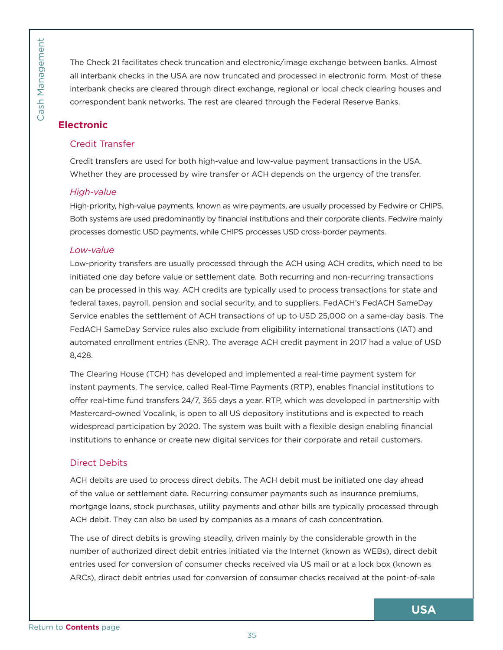Cash Management

The Check 21 facilitates check truncation and electronic/image exchange between banks. Almost all interbank checks in the USA are now truncated and processed in electronic form. Most of these interbank checks are cleared through direct exchange, regional or local check clearing houses and correspondent bank networks. The rest are cleared through the Federal Reserve Banks.

## **Electronic**

## Credit Transfer

Credit transfers are used for both high-value and low-value payment transactions in the USA. Whether they are processed by wire transfer or ACH depends on the urgency of the transfer.

## *High-value*

High-priority, high-value payments, known as wire payments, are usually processed by Fedwire or CHIPS. Both systems are used predominantly by financial institutions and their corporate clients. Fedwire mainly processes domestic USD payments, while CHIPS processes USD cross-border payments.

## *Low-value*

<span id="page-34-0"></span>France Contents page Cash Management Contents<br> [Return to](#page-5-0) Contents and ARCs), direct the state of the state of the state of the state of the state of the state of the state of the state of the state of the state of the stat Low-priority transfers are usually processed through the ACH using ACH credits, which need to be initiated one day before value or settlement date. Both recurring and non-recurring transactions can be processed in this way. ACH credits are typically used to process transactions for state and federal taxes, payroll, pension and social security, and to suppliers. FedACH's FedACH SameDay Service enables the settlement of ACH transactions of up to USD 25,000 on a same-day basis. The FedACH SameDay Service rules also exclude from eligibility international transactions (IAT) and automated enrollment entries (ENR). The average ACH credit payment in 2017 had a value of USD 8,428.

The Clearing House (TCH) has developed and implemented a real-time payment system for instant payments. The service, called Real-Time Payments (RTP), enables financial institutions to offer real-time fund transfers 24/7, 365 days a year. RTP, which was developed in partnership with Mastercard-owned Vocalink, is open to all US depository institutions and is expected to reach widespread participation by 2020. The system was built with a flexible design enabling financial institutions to enhance or create new digital services for their corporate and retail customers.

## Direct Debits

ACH debits are used to process direct debits. The ACH debit must be initiated one day ahead of the value or settlement date. Recurring consumer payments such as insurance premiums, mortgage loans, stock purchases, utility payments and other bills are typically processed through ACH debit. They can also be used by companies as a means of cash concentration.

The use of direct debits is growing steadily, driven mainly by the considerable growth in the number of authorized direct debit entries initiated via the Internet (known as WEBs), direct debit entries used for conversion of consumer checks received via US mail or at a lock box (known as ARCs), direct debit entries used for conversion of consumer checks received at the point-of-sale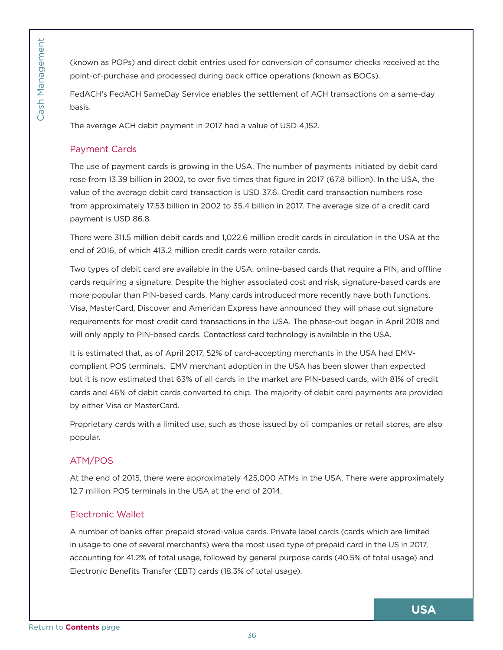(known as POPs) and direct debit entries used for conversion of consumer checks received at the point-of-purchase and processed during back office operations (known as BOCs).

FedACH's FedACH SameDay Service enables the settlement of ACH transactions on a same-day basis.

The average ACH debit payment in 2017 had a value of USD 4,152.

## Payment Cards

The use of payment cards is growing in the USA. The number of payments initiated by debit card rose from 13.39 billion in 2002, to over five times that figure in 2017 (67.8 billion). In the USA, the value of the average debit card transaction is USD 37.6. Credit card transaction numbers rose from approximately 17.53 billion in 2002 to 35.4 billion in 2017. The average size of a credit card payment is USD 86.8.

There were 311.5 million debit cards and 1,022.6 million credit cards in circulation in the USA at the end of 2016, of which 413.2 million credit cards were retailer cards.

<span id="page-35-0"></span>FedACH's FedACH's FedACH's FedACH's FedACH's FedACH's FedACH's FedACH's FedACH's FedACH's FedACH's FedACH's FedACH's FedACH's FedACH's Fed<br>
From a programment Cash Management is U<br>
The use of pass from a proposition paymen Two types of debit card are available in the USA: online-based cards that require a PIN, and offline cards requiring a signature. Despite the higher associated cost and risk, signature-based cards are more popular than PIN-based cards. Many cards introduced more recently have both functions. Visa, MasterCard, Discover and American Express have announced they will phase out signature requirements for most credit card transactions in the USA. The phase-out began in April 2018 and will only apply to PIN-based cards. Contactless card technology is available in the USA.

It is estimated that, as of April 2017, 52% of card-accepting merchants in the USA had EMVcompliant POS terminals. EMV merchant adoption in the USA has been slower than expected but it is now estimated that 63% of all cards in the market are PIN-based cards, with 81% of credit cards and 46% of debit cards converted to chip. The majority of debit card payments are provided by either Visa or MasterCard.

Proprietary cards with a limited use, such as those issued by oil companies or retail stores, are also popular.

## ATM/POS

At the end of 2015, there were approximately 425,000 ATMs in the USA. There were approximately 12.7 million POS terminals in the USA at the end of 2014.

## Electronic Wallet

A number of banks offer prepaid stored-value cards. Private label cards (cards which are limited in usage to one of several merchants) were the most used type of prepaid card in the US in 2017, accounting for 41.2% of total usage, followed by general purpose cards (40.5% of total usage) and Electronic Benefits Transfer (EBT) cards (18.3% of total usage).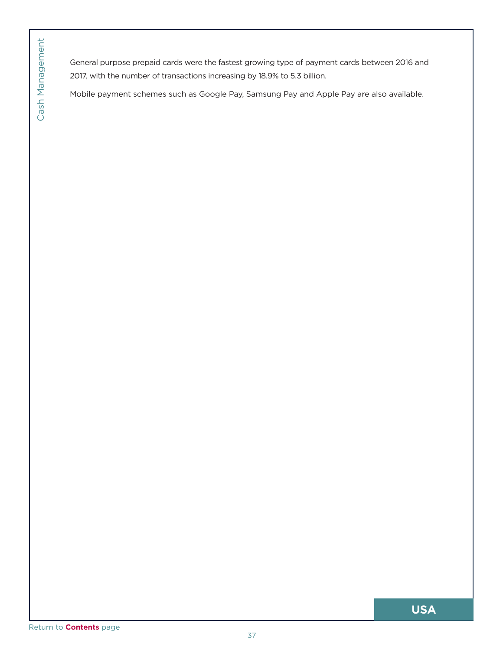**Contents of Contents Page Contents page Cash Mobile payments**<br>
Mobile payment<br> [Return to](#page-5-0) **Contents** page General purpose prepaid cards were the fastest growing type of payment cards between 2016 and 2017, with the number of transactions increasing by 18.9% to 5.3 billion.

Mobile payment schemes such as Google Pay, Samsung Pay and Apple Pay are also available.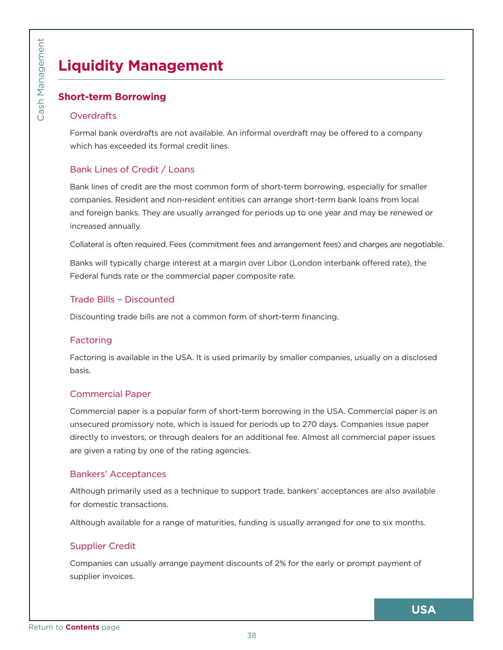# **Liquidity Management**

## **Short-term Borrowing**

#### **Overdrafts**

Formal bank overdrafts are not available. An informal overdraft may be offered to a company which has exceeded its formal credit lines.

## Bank Lines of Credit / Loans

<span id="page-37-0"></span>Example **Contents**<br>
Content Contents<br>
Contents Formal bank<br>
Contents Formal bank<br>
Contents Bank Lines<br>
Bank Lines<br>
Bank Lines<br>
Bank Lines<br>
Bank Lines<br>
Companies. Rand foreign b<br>
increased and<br>
Collateral funds<br>
Trade Bills Bank lines of credit are the most common form of short-term borrowing, especially for smaller companies. Resident and non-resident entities can arrange short-term bank loans from local and foreign banks. They are usually arranged for periods up to one year and may be renewed or increased annually.

Collateral is often required. Fees (commitment fees and arrangement fees) and charges are negotiable.

Banks will typically charge interest at a margin over Libor (London interbank offered rate), the Federal funds rate or the commercial paper composite rate.

## Trade Bills – Discounted

Discounting trade bills are not a common form of short-term financing.

#### Factoring

Factoring is available in the USA. It is used primarily by smaller companies, usually on a disclosed basis.

#### Commercial Paper

Commercial paper is a popular form of short-term borrowing in the USA. Commercial paper is an unsecured promissory note, which is issued for periods up to 270 days. Companies issue paper directly to investors, or through dealers for an additional fee. Almost all commercial paper issues are given a rating by one of the rating agencies.

#### Bankers' Acceptances

Although primarily used as a technique to support trade, bankers' acceptances are also available for domestic transactions.

Although available for a range of maturities, funding is usually arranged for one to six months.

## Supplier Credit

Companies can usually arrange payment discounts of 2% for the early or prompt payment of supplier invoices.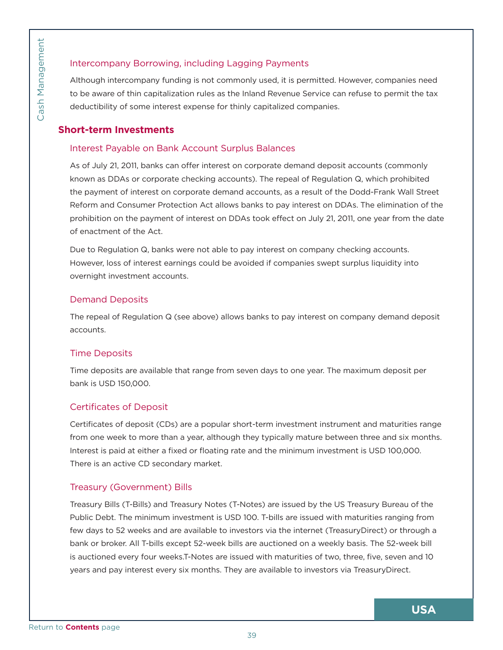## Intercompany Borrowing, including Lagging Payments

Although intercompany funding is not commonly used, it is permitted. However, companies need to be aware of thin capitalization rules as the Inland Revenue Service can refuse to permit the tax deductibility of some interest expense for thinly capitalized companies.

#### **Short-term Investments**

#### Interest Payable on Bank Account Surplus Balances

As of July 21, 2011, banks can offer interest on corporate demand deposit accounts (commonly known as DDAs or corporate checking accounts). The repeal of Regulation Q, which prohibited the payment of interest on corporate demand accounts, as a result of the Dodd-Frank Wall Street Reform and Consumer Protection Act allows banks to pay interest on DDAs. The elimination of the prohibition on the payment of interest on DDAs took effect on July 21, 2011, one year from the date of enactment of the Act.

Due to Regulation Q, banks were not able to pay interest on company checking accounts. However, loss of interest earnings could be avoided if companies swept surplus liquidity into overnight investment accounts.

#### Demand Deposits

The repeal of Regulation Q (see above) allows banks to pay interest on company demand deposit accounts.

#### Time Deposits

Time deposits are available that range from seven days to one year. The maximum deposit per bank is USD 150,000.

#### Certificates of Deposit

Certificates of deposit (CDs) are a popular short-term investment instrument and maturities range from one week to more than a year, although they typically mature between three and six months. Interest is paid at either a fixed or floating rate and the minimum investment is USD 100,000. There is an active CD secondary market.

#### Treasury (Government) Bills

<span id="page-38-0"></span>Frame Intercompa<br> [Return to](#page-5-0) be aware contents<br>
Content of deductibility<br>
Short-term Interest Pay<br>
As of July 21,<br>
known as DD<br>
the payment<br>
Reform and Contents<br>
Proposition of enactment<br>
Due to Regul<br>
However, loss<br>
overni Treasury Bills (T-Bills) and Treasury Notes (T-Notes) are issued by the US Treasury Bureau of the Public Debt. The minimum investment is USD 100. T-bills are issued with maturities ranging from few days to 52 weeks and are available to investors via the internet (TreasuryDirect) or through a bank or broker. All T-bills except 52-week bills are auctioned on a weekly basis. The 52-week bill is auctioned every four weeks.T-Notes are issued with maturities of two, three, five, seven and 10 years and pay interest every six months. They are available to investors via TreasuryDirect.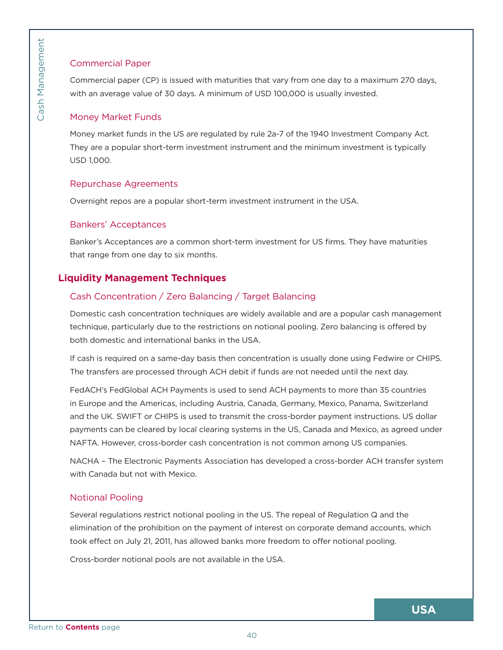## Commercial Paper

Commercial paper (CP) is issued with maturities that vary from one day to a maximum 270 days, with an average value of 30 days. A minimum of USD 100,000 is usually invested.

#### Money Market Funds

Money market funds in the US are regulated by rule 2a-7 of the 1940 Investment Company Act. They are a popular short-term investment instrument and the minimum investment is typically USD 1,000.

#### Repurchase Agreements

Overnight repos are a popular short-term investment instrument in the USA.

#### Bankers' Acceptances

Banker's Acceptances are a common short-term investment for US firms. They have maturities that range from one day to six months.

## **Liquidity Management Techniques**

## Cash Concentration / Zero Balancing / Target Balancing

Domestic cash concentration techniques are widely available and are a popular cash management technique, particularly due to the restrictions on notional pooling. Zero balancing is offered by both domestic and international banks in the USA.

If cash is required on a same-day basis then concentration is usually done using Fedwire or CHIPS. The transfers are processed through ACH debit if funds are not needed until the next day.

<span id="page-39-0"></span>For Commercia<br>
Commercial r<br>
Woney Marl<br>
Money marke<br>
They are a po<br>
USD 1,000.<br>
Repurchase<br>
Overnight rer<br>
Banker's Acco<br>
that range fro<br>
Liquidity Ma<br>
Cash Conce<br>
Domestic cas<br>
technique, pa<br>
both domestic<br>
If cash is re FedACH's FedGlobal ACH Payments is used to send ACH payments to more than 35 countries in Europe and the Americas, including Austria, Canada, Germany, Mexico, Panama, Switzerland and the UK. SWIFT or CHIPS is used to transmit the cross-border payment instructions. US dollar payments can be cleared by local clearing systems in the US, Canada and Mexico, as agreed under NAFTA. However, cross-border cash concentration is not common among US companies.

NACHA – The Electronic Payments Association has developed a cross-border ACH transfer system with Canada but not with Mexico.

## Notional Pooling

Several regulations restrict notional pooling in the US. The repeal of Regulation Q and the elimination of the prohibition on the payment of interest on corporate demand accounts, which took effect on July 21, 2011, has allowed banks more freedom to offer notional pooling.

Cross-border notional pools are not available in the USA.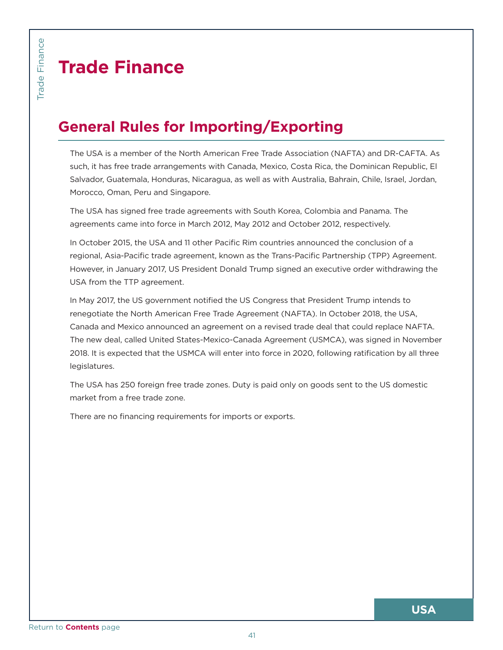# **Trade Finance**

# **General Rules for Importing/Exporting**

The USA is a member of the North American Free Trade Association (NAFTA) and DR-CAFTA. As such, it has free trade arrangements with Canada, Mexico, Costa Rica, the Dominican Republic, El Salvador, Guatemala, Honduras, Nicaragua, as well as with Australia, Bahrain, Chile, Israel, Jordan, Morocco, Oman, Peru and Singapore.

The USA has signed free trade agreements with South Korea, Colombia and Panama. The agreements came into force in March 2012, May 2012 and October 2012, respectively.

In October 2015, the USA and 11 other Pacific Rim countries announced the conclusion of a regional, Asia-Pacific trade agreement, known as the Trans-Pacific Partnership (TPP) Agreement. However, in January 2017, US President Donald Trump signed an executive order withdrawing the USA from the TTP agreement.

<span id="page-40-0"></span>Bettern to **Contents** page<br> [Return to](#page-5-0) **Contents** page Return to **Contents** page<br>
Return to **Contents** page Trade School of the USA has<br>
agreements of the USA has<br>
divergional, Asia<br>
However, in J<br>
USA from the<br>
In May 2017 In May 2017, the US government notified the US Congress that President Trump intends to renegotiate the North American Free Trade Agreement (NAFTA). In October 2018, the USA, Canada and Mexico announced an agreement on a revised trade deal that could replace NAFTA. The new deal, called United States-Mexico-Canada Agreement (USMCA), was signed in November 2018. It is expected that the USMCA will enter into force in 2020, following ratification by all three legislatures.

The USA has 250 foreign free trade zones. Duty is paid only on goods sent to the US domestic market from a free trade zone.

There are no financing requirements for imports or exports.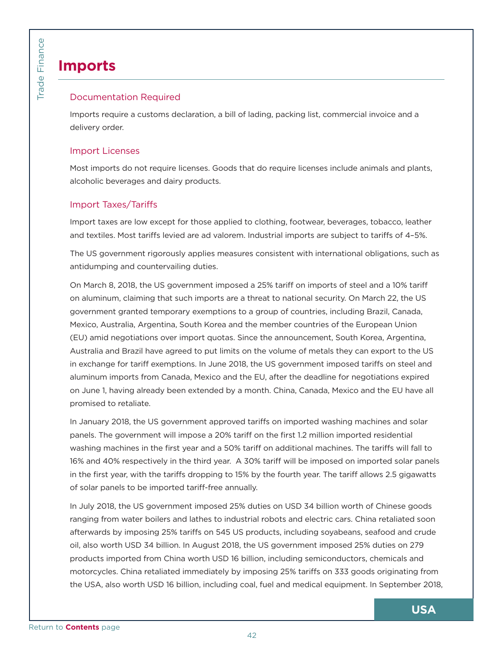# **Imports**

## Documentation Required

Imports require a customs declaration, a bill of lading, packing list, commercial invoice and a delivery order.

## Import Licenses

Most imports do not require licenses. Goods that do require licenses include animals and plants, alcoholic beverages and dairy products.

## Import Taxes/Tariffs

Import taxes are low except for those applied to clothing, footwear, beverages, tobacco, leather and textiles. Most tariffs levied are ad valorem. Industrial imports are subject to tariffs of 4–5%.

The US government rigorously applies measures consistent with international obligations, such as antidumping and countervailing duties.

<span id="page-41-0"></span>Broad Contents<br>
Contents<br>
Contents<br>
Contents<br>
Contents<br>
Contents<br>
Contents<br>
Contents<br>
Contents<br>
Contents<br>
Contents<br>
Contents<br>
Contents<br>
Contents<br>
Contents<br>
Contents<br>
Contents<br>
Contents<br>
Contents<br>
Contents<br>
Contents<br>
Conten On March 8, 2018, the US government imposed a 25% tariff on imports of steel and a 10% tariff on aluminum, claiming that such imports are a threat to national security. On March 22, the US government granted temporary exemptions to a group of countries, including Brazil, Canada, Mexico, Australia, Argentina, South Korea and the member countries of the European Union (EU) amid negotiations over import quotas. Since the announcement, South Korea, Argentina, Australia and Brazil have agreed to put limits on the volume of metals they can export to the US in exchange for tariff exemptions. In June 2018, the US government imposed tariffs on steel and aluminum imports from Canada, Mexico and the EU, after the deadline for negotiations expired on June 1, having already been extended by a month. China, Canada, Mexico and the EU have all promised to retaliate.

In January 2018, the US government approved tariffs on imported washing machines and solar panels. The government will impose a 20% tariff on the first 1.2 million imported residential washing machines in the first year and a 50% tariff on additional machines. The tariffs will fall to 16% and 40% respectively in the third year. A 30% tariff will be imposed on imported solar panels in the first year, with the tariffs dropping to 15% by the fourth year. The tariff allows 2.5 gigawatts of solar panels to be imported tariff-free annually.

In July 2018, the US government imposed 25% duties on USD 34 billion worth of Chinese goods ranging from water boilers and lathes to industrial robots and electric cars. China retaliated soon afterwards by imposing 25% tariffs on 545 US products, including soyabeans, seafood and crude oil, also worth USD 34 billion. In August 2018, the US government imposed 25% duties on 279 products imported from China worth USD 16 billion, including semiconductors, chemicals and motorcycles. China retaliated immediately by imposing 25% tariffs on 333 goods originating from the USA, also worth USD 16 billion, including coal, fuel and medical equipment. In September 2018,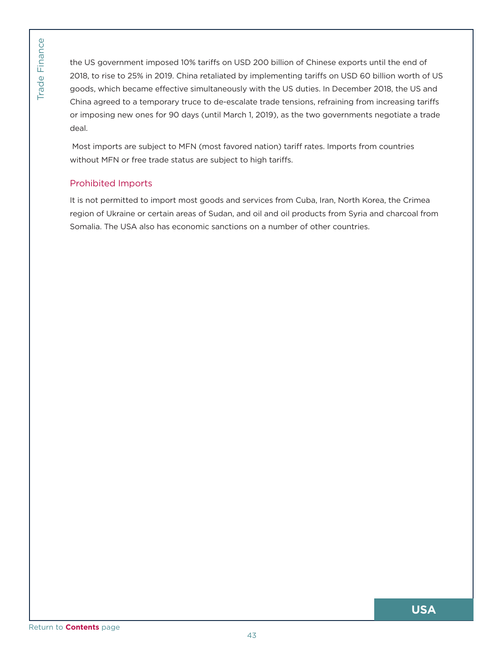<span id="page-42-0"></span>Provider the US gover<br>
2018, to rise to goods, which<br>
China agreed<br>
or imposing r<br>
deal.<br>
Most imports<br>
without MFN<br>
Prohibited I<br>
It is not perm<br>
region of Ukr<br>
Somalia. The<br> [Return to](#page-5-0) **Contents** page the US government imposed 10% tariffs on USD 200 billion of Chinese exports until the end of 2018, to rise to 25% in 2019. China retaliated by implementing tariffs on USD 60 billion worth of US goods, which became effective simultaneously with the US duties. In December 2018, the US and China agreed to a temporary truce to de-escalate trade tensions, refraining from increasing tariffs or imposing new ones for 90 days (until March 1, 2019), as the two governments negotiate a trade deal.

Most imports are subject to MFN (most favored nation) tariff rates. Imports from countries without MFN or free trade status are subject to high tariffs.

## Prohibited Imports

It is not permitted to import most goods and services from Cuba, Iran, North Korea, the Crimea region of Ukraine or certain areas of Sudan, and oil and oil products from Syria and charcoal from Somalia. The USA also has economic sanctions on a number of other countries.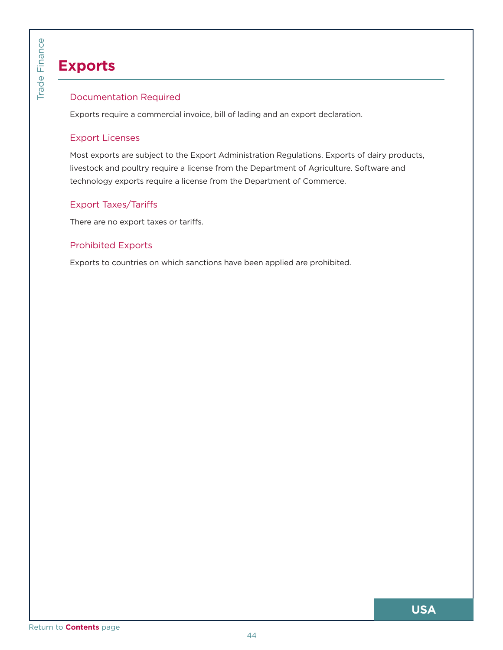# **Exports**

## Documentation Required

Exports require a commercial invoice, bill of lading and an export declaration.

## Export Licenses

<span id="page-43-0"></span>Branch Contents<br>
The Export Lice<br>
Most export Lice<br>
Most exports<br>
livestock and<br>
technology e<br>
Export Taxe<br>
There are no<br>
Prohibited I<br>
Exports to co Most exports are subject to the Export Administration Regulations. Exports of dairy products, livestock and poultry require a license from the Department of Agriculture. Software and technology exports require a license from the Department of Commerce.

## Export Taxes/Tariffs

There are no export taxes or tariffs.

## Prohibited Exports

Exports to countries on which sanctions have been applied are prohibited.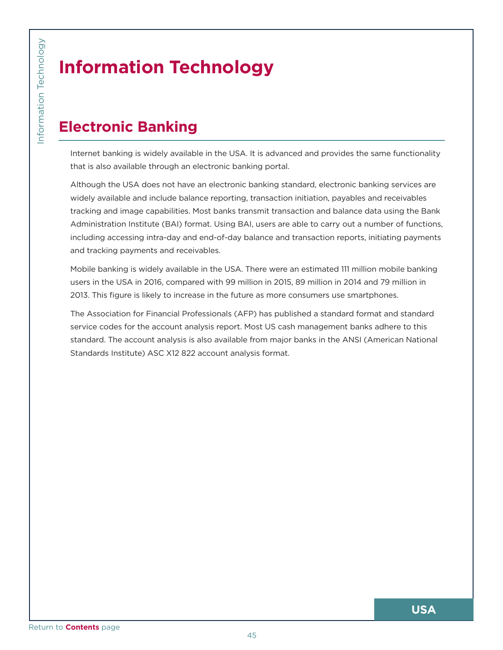# **Information Technology**

# **Electronic Banking**

Internet banking is widely available in the USA. It is advanced and provides the same functionality that is also available through an electronic banking portal.

<span id="page-44-0"></span>**CONTROM**<br>
CONGRESS **CONTROM**<br>
Internet bank<br>
that is also a<br>
Although the<br>
widely availal<br>
tracking and<br>
Administratic<br>
including acc<br>
and tracking<br>
Mobile bankit<br>
users in the L<br>
2013. This fig<br>
The Associat<br>
standard. T Although the USA does not have an electronic banking standard, electronic banking services are widely available and include balance reporting, transaction initiation, payables and receivables tracking and image capabilities. Most banks transmit transaction and balance data using the Bank Administration Institute (BAI) format. Using BAI, users are able to carry out a number of functions, including accessing intra-day and end-of-day balance and transaction reports, initiating payments and tracking payments and receivables.

Mobile banking is widely available in the USA. There were an estimated 111 million mobile banking users in the USA in 2016, compared with 99 million in 2015, 89 million in 2014 and 79 million in 2013. This figure is likely to increase in the future as more consumers use smartphones.

The Association for Financial Professionals (AFP) has published a standard format and standard service codes for the account analysis report. Most US cash management banks adhere to this standard. The account analysis is also available from major banks in the ANSI (American National Standards Institute) ASC X12 822 account analysis format.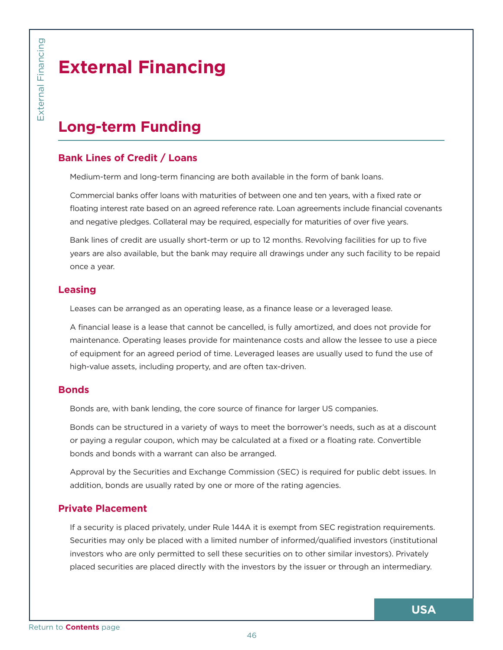# **External Financing**

# **Long-term Funding**

## **Bank Lines of Credit / Loans**

Medium-term and long-term financing are both available in the form of bank loans.

Commercial banks offer loans with maturities of between one and ten years, with a fixed rate or floating interest rate based on an agreed reference rate. Loan agreements include financial covenants and negative pledges. Collateral may be required, especially for maturities of over five years.

Bank lines of credit are usually short-term or up to 12 months. Revolving facilities for up to five years are also available, but the bank may require all drawings under any such facility to be repaid once a year.

## **Leasing**

Leases can be arranged as an operating lease, as a finance lease or a leveraged lease.

A financial lease is a lease that cannot be cancelled, is fully amortized, and does not provide for maintenance. Operating leases provide for maintenance costs and allow the lessee to use a piece of equipment for an agreed period of time. Leveraged leases are usually used to fund the use of high-value assets, including property, and are often tax-driven.

## **Bonds**

Bonds are, with bank lending, the core source of finance for larger US companies.

Bonds can be structured in a variety of ways to meet the borrower's needs, such as at a discount or paying a regular coupon, which may be calculated at a fixed or a floating rate. Convertible bonds and bonds with a warrant can also be arranged.

Approval by the Securities and Exchange Commission (SEC) is required for public debt issues. In addition, bonds are usually rated by one or more of the rating agencies.

## **Private Placement**

<span id="page-45-0"></span>Extern:<br>
The distance of the Sank Lines of<br>
Medium-term<br>
Commercial E<br>
floating intere<br>
and negative<br>
Bank lines of<br>
years are also<br>
once a year.<br>
Leasing<br>
Leases can b<br>
A financial leases can b<br>
A financial leases can b<br> If a security is placed privately, under Rule 144A it is exempt from SEC registration requirements. Securities may only be placed with a limited number of informed/qualified investors (institutional investors who are only permitted to sell these securities on to other similar investors). Privately placed securities are placed directly with the investors by the issuer or through an intermediary.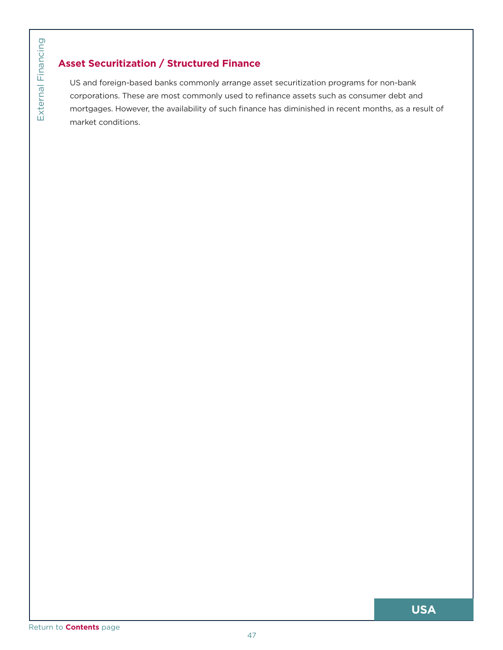## **Asset Securitization / Structured Finance**

<span id="page-46-0"></span>[Return to](#page-5-0) **Contents** page<br>Return to **Contents** page<br>Return to **Contents** page US and foreign-based banks commonly arrange asset securitization programs for non-bank corporations. These are most commonly used to refinance assets such as consumer debt and mortgages. However, the availability of such finance has diminished in recent months, as a result of market conditions.

Return to **Contents** page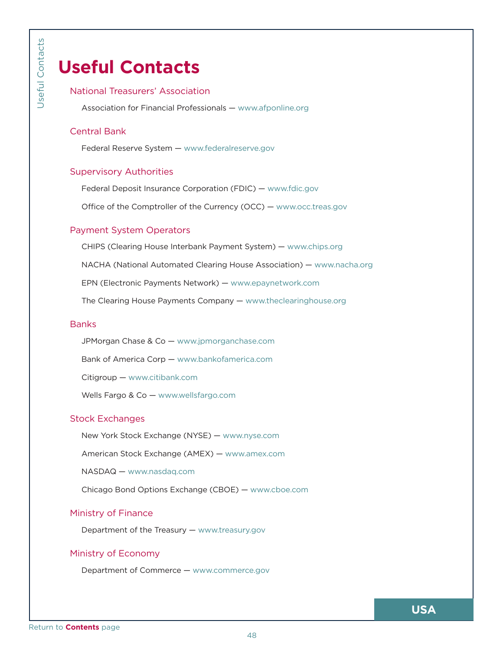# **Useful Contacts**

## National Treasurers' Association

Association for Financial Professionals — <www.afponline.org>

## Central Bank

Federal Reserve System — <www.federalreserve.gov>

#### Supervisory Authorities

Federal Deposit Insurance Corporation (FDIC) — <www.fdic.gov>

Office of the Comptroller of the Currency (OCC) —<www.occ.treas.gov>

#### Payment System Operators

<span id="page-47-0"></span>Properties<br>
USEFUI<br>
National Tre<br>
Association<br>
Central Ban<br>
Federal Return Sy<br>
Federal Do<br>
Office of t<br>
Payment Sy<br>
CHIPS (CIC<br>
NACHA (N<br>
EPN (Elec<br>
The Cleari<br>
Banks<br>
JPMorgan<br>
Bank of A<br>
Citigroup<br>
Wells Farg<br>
Stock Exch CHIPS (Clearing House Interbank Payment System) — <www.chips.org> NACHA (National Automated Clearing House Association) — <www.nacha.org> EPN (Electronic Payments Network) — <www.epaynetwork.com> The Clearing House Payments Company — <www.theclearinghouse.org>

#### **Banks**

JPMorgan Chase & Co — <www.jpmorganchase.com>

Bank of America Corp — <www.bankofamerica.com>

Citigroup —<www.citibank.com>

Wells Fargo & Co — [www.wellsfargo.com](www.wellsfargo.com ) 

## Stock Exchanges

New York Stock Exchange (NYSE) —<www.nyse.com>

American Stock Exchange (AMEX) —<www.amex.com>

NASDAQ — <www.nasdaq.com>

Chicago Bond Options Exchange (CBOE) — <www.cboe.com>

## Ministry of Finance

Department of the Treasury —<www.treasury.gov>

## Ministry of Economy

Department of Commerce — <www.commerce.gov>